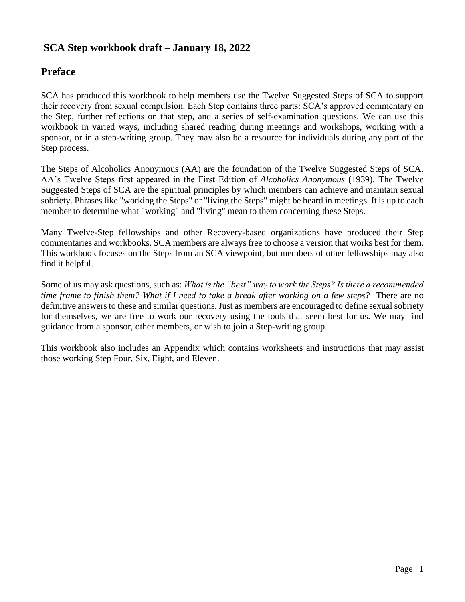## **SCA Step workbook draft – January 18, 2022**

### **Preface**

SCA has produced this workbook to help members use the Twelve Suggested Steps of SCA to support their recovery from sexual compulsion. Each Step contains three parts: SCA's approved commentary on the Step, further reflections on that step, and a series of self-examination questions. We can use this workbook in varied ways, including shared reading during meetings and workshops, working with a sponsor, or in a step-writing group. They may also be a resource for individuals during any part of the Step process.

The Steps of Alcoholics Anonymous (AA) are the foundation of the Twelve Suggested Steps of SCA. AA's Twelve Steps first appeared in the First Edition of *Alcoholics Anonymous* (1939). The Twelve Suggested Steps of SCA are the spiritual principles by which members can achieve and maintain sexual sobriety. Phrases like "working the Steps" or "living the Steps" might be heard in meetings. It is up to each member to determine what "working" and "living" mean to them concerning these Steps.

Many Twelve-Step fellowships and other Recovery-based organizations have produced their Step commentaries and workbooks. SCA members are always free to choose a version that works best for them. This workbook focuses on the Steps from an SCA viewpoint, but members of other fellowships may also find it helpful.

Some of us may ask questions, such as: *What is the "best" way to work the Steps? Is there a recommended time frame to finish them? What if I need to take a break after working on a few steps?* There are no definitive answers to these and similar questions. Just as members are encouraged to define sexual sobriety for themselves, we are free to work our recovery using the tools that seem best for us. We may find guidance from a sponsor, other members, or wish to join a Step-writing group.

This workbook also includes an Appendix which contains worksheets and instructions that may assist those working Step Four, Six, Eight, and Eleven.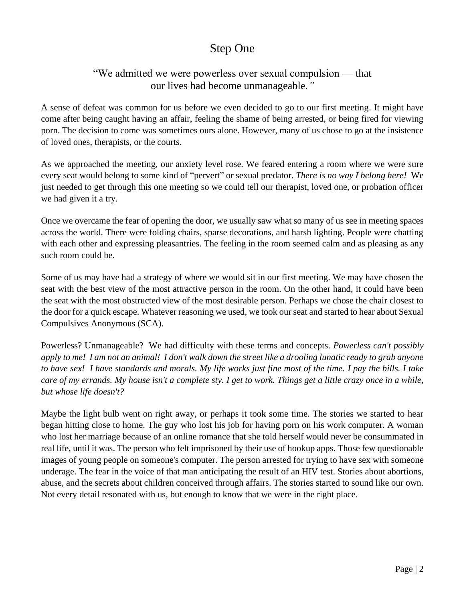## Step One

## "We admitted we were powerless over sexual compulsion — that our lives had become unmanageable*."*

A sense of defeat was common for us before we even decided to go to our first meeting. It might have come after being caught having an affair, feeling the shame of being arrested, or being fired for viewing porn. The decision to come was sometimes ours alone. However, many of us chose to go at the insistence of loved ones, therapists, or the courts.

As we approached the meeting, our anxiety level rose. We feared entering a room where we were sure every seat would belong to some kind of "pervert" or sexual predator. *There is no way I belong here!* We just needed to get through this one meeting so we could tell our therapist, loved one, or probation officer we had given it a try.

Once we overcame the fear of opening the door, we usually saw what so many of us see in meeting spaces across the world. There were folding chairs, sparse decorations, and harsh lighting. People were chatting with each other and expressing pleasantries. The feeling in the room seemed calm and as pleasing as any such room could be.

Some of us may have had a strategy of where we would sit in our first meeting. We may have chosen the seat with the best view of the most attractive person in the room. On the other hand, it could have been the seat with the most obstructed view of the most desirable person. Perhaps we chose the chair closest to the door for a quick escape. Whatever reasoning we used, we took our seat and started to hear about Sexual Compulsives Anonymous (SCA).

Powerless? Unmanageable? We had difficulty with these terms and concepts. *Powerless can't possibly apply to me! I am not an animal! I don't walk down the street like a drooling lunatic ready to grab anyone to have sex! I have standards and morals. My life works just fine most of the time. I pay the bills. I take care of my errands. My house isn't a complete sty. I get to work. Things get a little crazy once in a while, but whose life doesn't?*

Maybe the light bulb went on right away, or perhaps it took some time. The stories we started to hear began hitting close to home. The guy who lost his job for having porn on his work computer. A woman who lost her marriage because of an online romance that she told herself would never be consummated in real life, until it was. The person who felt imprisoned by their use of hookup apps. Those few questionable images of young people on someone's computer. The person arrested for trying to have sex with someone underage. The fear in the voice of that man anticipating the result of an HIV test. Stories about abortions, abuse, and the secrets about children conceived through affairs. The stories started to sound like our own. Not every detail resonated with us, but enough to know that we were in the right place.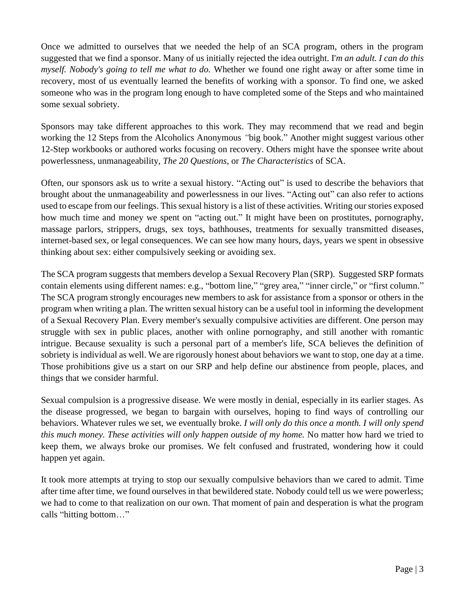Once we admitted to ourselves that we needed the help of an SCA program, others in the program suggested that we find a sponsor. Many of us initially rejected the idea outright. I'*m an adult. I can do this myself. Nobody's going to tell me what to do.* Whether we found one right away or after some time in recovery, most of us eventually learned the benefits of working with a sponsor. To find one, we asked someone who was in the program long enough to have completed some of the Steps and who maintained some sexual sobriety.

Sponsors may take different approaches to this work. They may recommend that we read and begin working the 12 Steps from the Alcoholics Anonymous *"*big book." Another might suggest various other 12-Step workbooks or authored works focusing on recovery. Others might have the sponsee write about powerlessness, unmanageability, *The 20 Questions*, or *The Characteristics* of SCA.

Often, our sponsors ask us to write a sexual history. "Acting out" is used to describe the behaviors that brought about the unmanageability and powerlessness in our lives. "Acting out" can also refer to actions used to escape from our feelings. This sexual history is a list of these activities. Writing our stories exposed how much time and money we spent on "acting out." It might have been on prostitutes, pornography, massage parlors, strippers, drugs, sex toys, bathhouses, treatments for sexually transmitted diseases, internet-based sex, or legal consequences. We can see how many hours, days, years we spent in obsessive thinking about sex: either compulsively seeking or avoiding sex.

The SCA program suggests that members develop a Sexual Recovery Plan (SRP). Suggested SRP formats contain elements using different names: e.g., "bottom line," "grey area," "inner circle," or "first column." The SCA program strongly encourages new members to ask for assistance from a sponsor or others in the program when writing a plan. The written sexual history can be a useful tool in informing the development of a Sexual Recovery Plan. Every member's sexually compulsive activities are different. One person may struggle with sex in public places, another with online pornography, and still another with romantic intrigue. Because sexuality is such a personal part of a member's life, SCA believes the definition of sobriety is individual as well. We are rigorously honest about behaviors we want to stop, one day at a time. Those prohibitions give us a start on our SRP and help define our abstinence from people, places, and things that we consider harmful.

Sexual compulsion is a progressive disease. We were mostly in denial, especially in its earlier stages. As the disease progressed, we began to bargain with ourselves, hoping to find ways of controlling our behaviors. Whatever rules we set, we eventually broke*. I will only do this once a month. I will only spend this much money. These activities will only happen outside of my home.* No matter how hard we tried to keep them, we always broke our promises. We felt confused and frustrated, wondering how it could happen yet again.

It took more attempts at trying to stop our sexually compulsive behaviors than we cared to admit. Time after time after time, we found ourselves in that bewildered state. Nobody could tell us we were powerless; we had to come to that realization on our own. That moment of pain and desperation is what the program calls "hitting bottom…"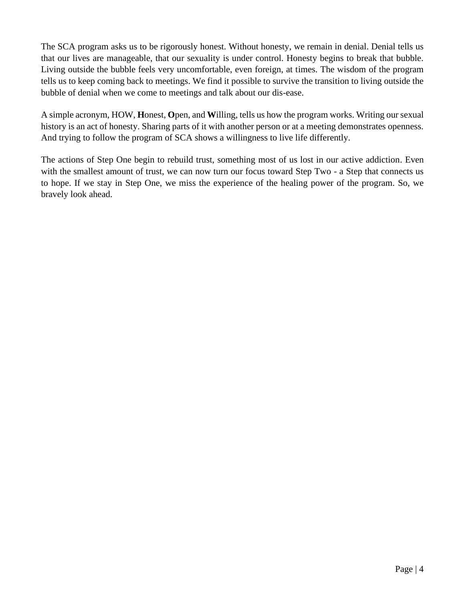The SCA program asks us to be rigorously honest. Without honesty, we remain in denial. Denial tells us that our lives are manageable, that our sexuality is under control. Honesty begins to break that bubble. Living outside the bubble feels very uncomfortable, even foreign, at times. The wisdom of the program tells us to keep coming back to meetings. We find it possible to survive the transition to living outside the bubble of denial when we come to meetings and talk about our dis-ease.

A simple acronym, HOW, **H**onest, **O**pen, and **W**illing, tells us how the program works. Writing our sexual history is an act of honesty. Sharing parts of it with another person or at a meeting demonstrates openness. And trying to follow the program of SCA shows a willingness to live life differently.

The actions of Step One begin to rebuild trust, something most of us lost in our active addiction. Even with the smallest amount of trust, we can now turn our focus toward Step Two - a Step that connects us to hope. If we stay in Step One, we miss the experience of the healing power of the program. So, we bravely look ahead.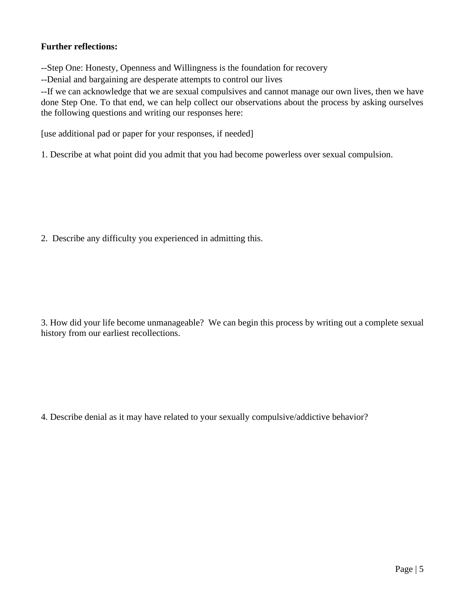#### **Further reflections:**

--Step One: Honesty, Openness and Willingness is the foundation for recovery

--Denial and bargaining are desperate attempts to control our lives

--If we can acknowledge that we are sexual compulsives and cannot manage our own lives, then we have done Step One. To that end, we can help collect our observations about the process by asking ourselves the following questions and writing our responses here:

[use additional pad or paper for your responses, if needed]

1. Describe at what point did you admit that you had become powerless over sexual compulsion.

2. Describe any difficulty you experienced in admitting this.

3. How did your life become unmanageable? We can begin this process by writing out a complete sexual history from our earliest recollections.

4. Describe denial as it may have related to your sexually compulsive/addictive behavior?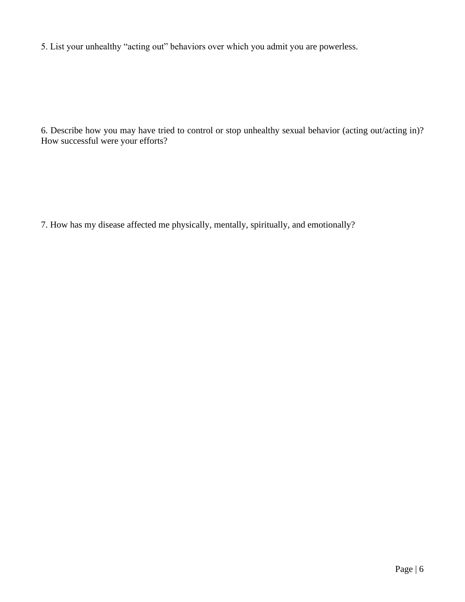5. List your unhealthy "acting out" behaviors over which you admit you are powerless.

6. Describe how you may have tried to control or stop unhealthy sexual behavior (acting out/acting in)? How successful were your efforts?

7. How has my disease affected me physically, mentally, spiritually, and emotionally?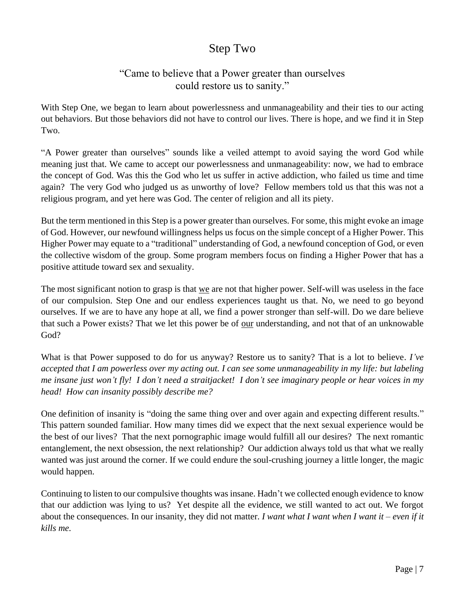## Step Two

### "Came to believe that a Power greater than ourselves could restore us to sanity."

With Step One, we began to learn about powerlessness and unmanageability and their ties to our acting out behaviors. But those behaviors did not have to control our lives. There is hope, and we find it in Step Two.

"A Power greater than ourselves" sounds like a veiled attempt to avoid saying the word God while meaning just that. We came to accept our powerlessness and unmanageability: now, we had to embrace the concept of God. Was this the God who let us suffer in active addiction, who failed us time and time again? The very God who judged us as unworthy of love? Fellow members told us that this was not a religious program, and yet here was God. The center of religion and all its piety.

But the term mentioned in this Step is a power greater than ourselves. For some, this might evoke an image of God. However, our newfound willingness helps us focus on the simple concept of a Higher Power. This Higher Power may equate to a "traditional" understanding of God, a newfound conception of God, or even the collective wisdom of the group. Some program members focus on finding a Higher Power that has a positive attitude toward sex and sexuality.

The most significant notion to grasp is that we are not that higher power. Self-will was useless in the face of our compulsion. Step One and our endless experiences taught us that. No, we need to go beyond ourselves. If we are to have any hope at all, we find a power stronger than self-will. Do we dare believe that such a Power exists? That we let this power be of our understanding, and not that of an unknowable God?

What is that Power supposed to do for us anyway? Restore us to sanity? That is a lot to believe. *I've accepted that I am powerless over my acting out. I can see some unmanageability in my life: but labeling me insane just won't fly! I don't need a straitjacket! I don't see imaginary people or hear voices in my head! How can insanity possibly describe me?*

One definition of insanity is "doing the same thing over and over again and expecting different results." This pattern sounded familiar. How many times did we expect that the next sexual experience would be the best of our lives? That the next pornographic image would fulfill all our desires? The next romantic entanglement, the next obsession, the next relationship? Our addiction always told us that what we really wanted was just around the corner. If we could endure the soul-crushing journey a little longer, the magic would happen.

Continuing to listen to our compulsive thoughts was insane. Hadn't we collected enough evidence to know that our addiction was lying to us? Yet despite all the evidence, we still wanted to act out. We forgot about the consequences. In our insanity, they did not matter. *I want what I want when I want it – even if it kills me.*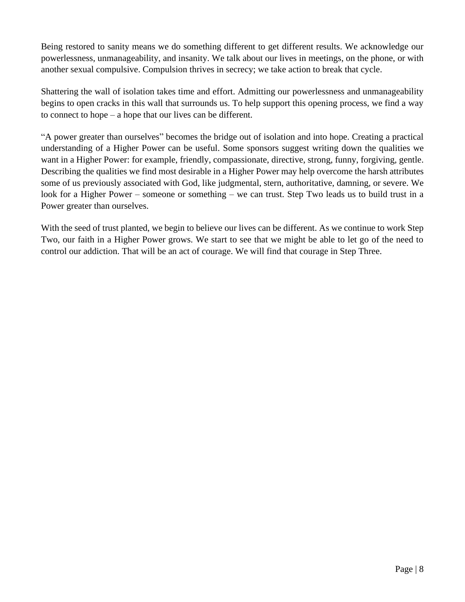Being restored to sanity means we do something different to get different results. We acknowledge our powerlessness, unmanageability, and insanity. We talk about our lives in meetings, on the phone, or with another sexual compulsive. Compulsion thrives in secrecy; we take action to break that cycle.

Shattering the wall of isolation takes time and effort. Admitting our powerlessness and unmanageability begins to open cracks in this wall that surrounds us. To help support this opening process, we find a way to connect to hope – a hope that our lives can be different.

"A power greater than ourselves" becomes the bridge out of isolation and into hope. Creating a practical understanding of a Higher Power can be useful. Some sponsors suggest writing down the qualities we want in a Higher Power: for example, friendly, compassionate, directive, strong, funny, forgiving, gentle. Describing the qualities we find most desirable in a Higher Power may help overcome the harsh attributes some of us previously associated with God, like judgmental, stern, authoritative, damning, or severe. We look for a Higher Power – someone or something – we can trust. Step Two leads us to build trust in a Power greater than ourselves.

With the seed of trust planted, we begin to believe our lives can be different. As we continue to work Step Two, our faith in a Higher Power grows. We start to see that we might be able to let go of the need to control our addiction. That will be an act of courage. We will find that courage in Step Three.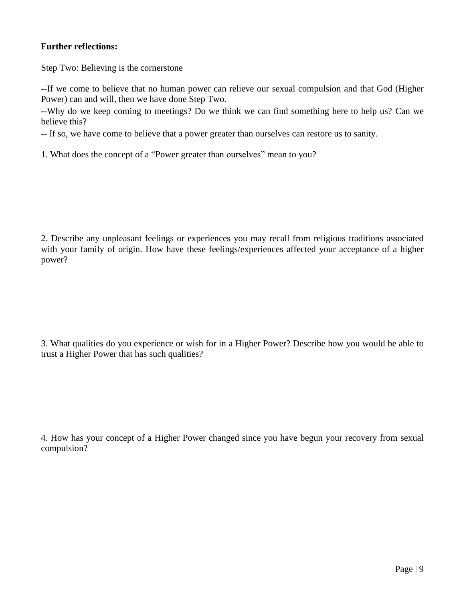#### **Further reflections:**

Step Two: Believing is the cornerstone

--If we come to believe that no human power can relieve our sexual compulsion and that God (Higher Power) can and will, then we have done Step Two.

--Why do we keep coming to meetings? Do we think we can find something here to help us? Can we believe this?

-- If so, we have come to believe that a power greater than ourselves can restore us to sanity.

1. What does the concept of a "Power greater than ourselves" mean to you?

2. Describe any unpleasant feelings or experiences you may recall from religious traditions associated with your family of origin. How have these feelings/experiences affected your acceptance of a higher power?

3. What qualities do you experience or wish for in a Higher Power? Describe how you would be able to trust a Higher Power that has such qualities?

4. How has your concept of a Higher Power changed since you have begun your recovery from sexual compulsion?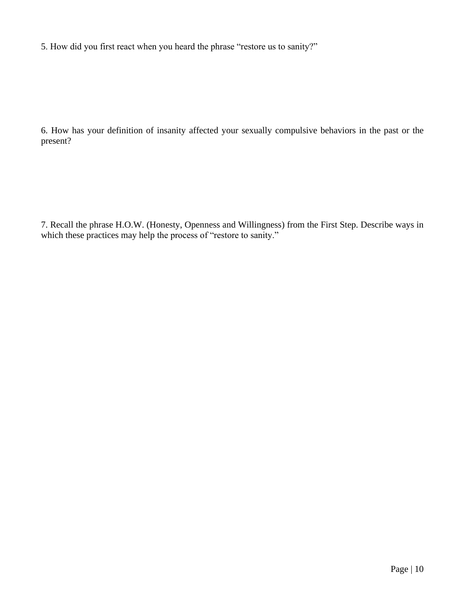5. How did you first react when you heard the phrase "restore us to sanity?"

6. How has your definition of insanity affected your sexually compulsive behaviors in the past or the present?

7. Recall the phrase H.O.W. (Honesty, Openness and Willingness) from the First Step. Describe ways in which these practices may help the process of "restore to sanity."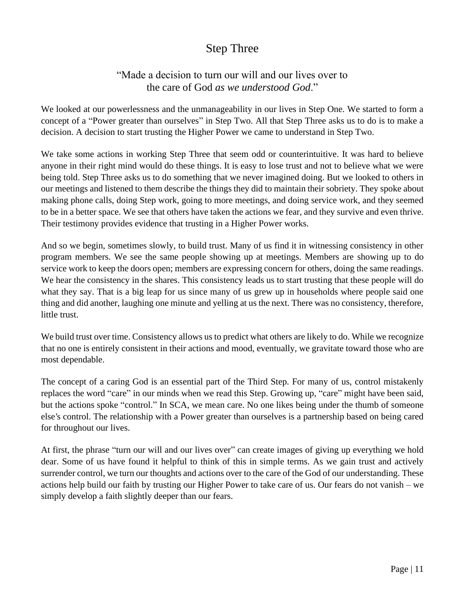## Step Three

## "Made a decision to turn our will and our lives over to the care of God *as we understood God*."

We looked at our powerlessness and the unmanageability in our lives in Step One. We started to form a concept of a "Power greater than ourselves" in Step Two. All that Step Three asks us to do is to make a decision. A decision to start trusting the Higher Power we came to understand in Step Two.

We take some actions in working Step Three that seem odd or counterintuitive. It was hard to believe anyone in their right mind would do these things. It is easy to lose trust and not to believe what we were being told. Step Three asks us to do something that we never imagined doing. But we looked to others in our meetings and listened to them describe the things they did to maintain their sobriety. They spoke about making phone calls, doing Step work, going to more meetings, and doing service work, and they seemed to be in a better space. We see that others have taken the actions we fear, and they survive and even thrive. Their testimony provides evidence that trusting in a Higher Power works.

And so we begin, sometimes slowly, to build trust. Many of us find it in witnessing consistency in other program members. We see the same people showing up at meetings. Members are showing up to do service work to keep the doors open; members are expressing concern for others, doing the same readings. We hear the consistency in the shares. This consistency leads us to start trusting that these people will do what they say. That is a big leap for us since many of us grew up in households where people said one thing and did another, laughing one minute and yelling at us the next. There was no consistency, therefore, little trust.

We build trust over time. Consistency allows us to predict what others are likely to do. While we recognize that no one is entirely consistent in their actions and mood, eventually, we gravitate toward those who are most dependable.

The concept of a caring God is an essential part of the Third Step. For many of us, control mistakenly replaces the word "care" in our minds when we read this Step. Growing up, "care" might have been said, but the actions spoke "control." In SCA, we mean care. No one likes being under the thumb of someone else*'*s control. The relationship with a Power greater than ourselves is a partnership based on being cared for throughout our lives.

At first, the phrase "turn our will and our lives over" can create images of giving up everything we hold dear. Some of us have found it helpful to think of this in simple terms. As we gain trust and actively surrender control, we turn our thoughts and actions over to the care of the God of our understanding. These actions help build our faith by trusting our Higher Power to take care of us. Our fears do not vanish – we simply develop a faith slightly deeper than our fears.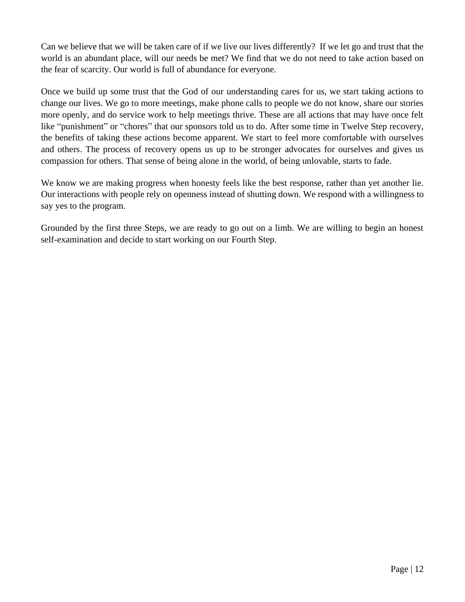Can we believe that we will be taken care of if we live our lives differently? If we let go and trust that the world is an abundant place, will our needs be met? We find that we do not need to take action based on the fear of scarcity. Our world is full of abundance for everyone.

Once we build up some trust that the God of our understanding cares for us, we start taking actions to change our lives. We go to more meetings, make phone calls to people we do not know, share our stories more openly, and do service work to help meetings thrive. These are all actions that may have once felt like "punishment" or "chores" that our sponsors told us to do. After some time in Twelve Step recovery, the benefits of taking these actions become apparent. We start to feel more comfortable with ourselves and others. The process of recovery opens us up to be stronger advocates for ourselves and gives us compassion for others. That sense of being alone in the world, of being unlovable, starts to fade.

We know we are making progress when honesty feels like the best response, rather than yet another lie. Our interactions with people rely on openness instead of shutting down. We respond with a willingness to say yes to the program.

Grounded by the first three Steps, we are ready to go out on a limb. We are willing to begin an honest self-examination and decide to start working on our Fourth Step.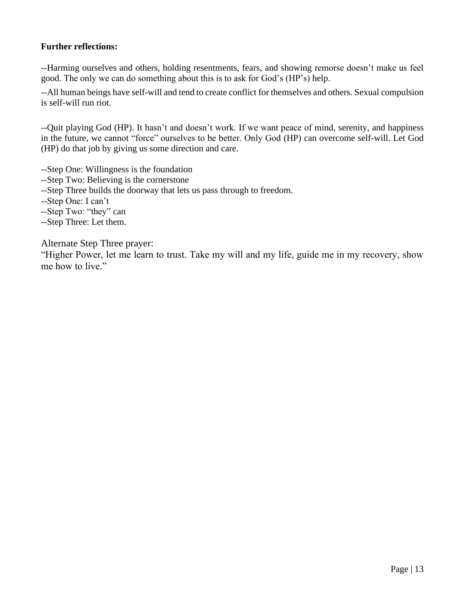#### **Further reflections:**

--Harming ourselves and others, holding resentments, fears, and showing remorse doesn't make us feel good. The only we can do something about this is to ask for God's (HP's) help.

--All human beings have self-will and tend to create conflict for themselves and others. Sexual compulsion is self-will run riot.

--Quit playing God (HP). It hasn't and doesn't work. If we want peace of mind, serenity, and happiness in the future, we cannot "force" ourselves to be better. Only God (HP) can overcome self-will. Let God (HP) do that job by giving us some direction and care.

- --Step One: Willingness is the foundation
- --Step Two: Believing is the cornerstone
- --Step Three builds the doorway that lets us pass through to freedom.
- --Step One: I can't
- --Step Two: "they" can
- --Step Three: Let them.

Alternate Step Three prayer:

"Higher Power, let me learn to trust. Take my will and my life, guide me in my recovery, show me how to live."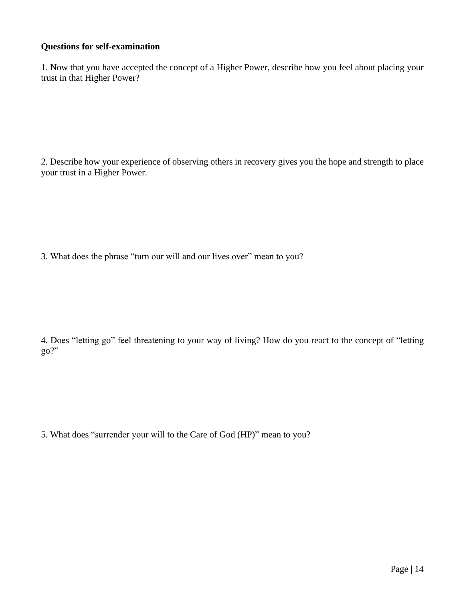#### **Questions for self-examination**

1. Now that you have accepted the concept of a Higher Power, describe how you feel about placing your trust in that Higher Power?

2. Describe how your experience of observing others in recovery gives you the hope and strength to place your trust in a Higher Power.

3. What does the phrase "turn our will and our lives over" mean to you?

4. Does "letting go" feel threatening to your way of living? How do you react to the concept of "letting go?"

5. What does "surrender your will to the Care of God (HP)" mean to you?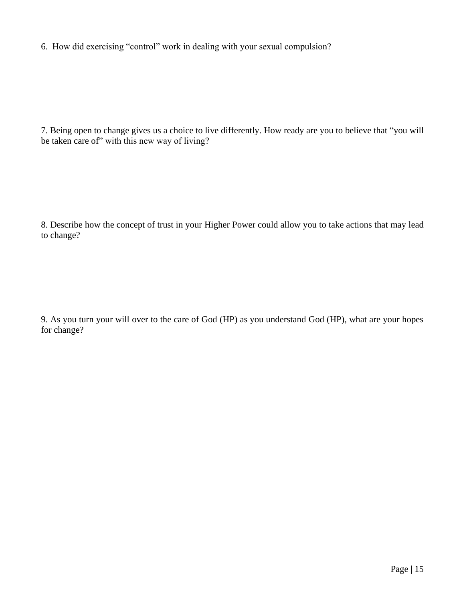6. How did exercising "control" work in dealing with your sexual compulsion?

7. Being open to change gives us a choice to live differently. How ready are you to believe that "you will be taken care of" with this new way of living?

8. Describe how the concept of trust in your Higher Power could allow you to take actions that may lead to change?

9. As you turn your will over to the care of God (HP) as you understand God (HP), what are your hopes for change?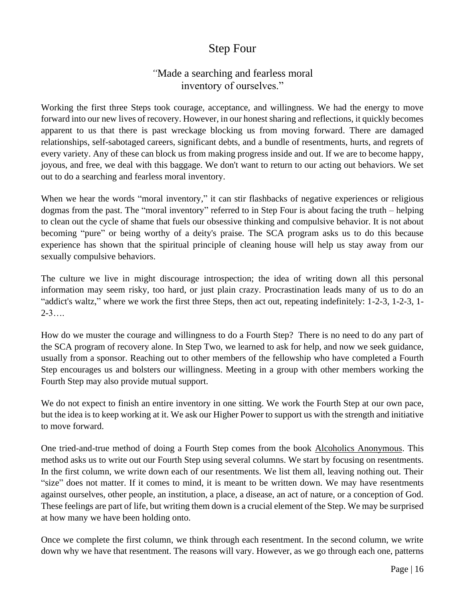## Step Four

## *"*Made a searching and fearless moral inventory of ourselves."

Working the first three Steps took courage, acceptance, and willingness. We had the energy to move forward into our new lives of recovery. However, in our honest sharing and reflections, it quickly becomes apparent to us that there is past wreckage blocking us from moving forward. There are damaged relationships, self-sabotaged careers, significant debts, and a bundle of resentments, hurts, and regrets of every variety. Any of these can block us from making progress inside and out. If we are to become happy, joyous, and free, we deal with this baggage. We don't want to return to our acting out behaviors. We set out to do a searching and fearless moral inventory.

When we hear the words "moral inventory," it can stir flashbacks of negative experiences or religious dogmas from the past. The "moral inventory" referred to in Step Four is about facing the truth – helping to clean out the cycle of shame that fuels our obsessive thinking and compulsive behavior. It is not about becoming "pure" or being worthy of a deity's praise. The SCA program asks us to do this because experience has shown that the spiritual principle of cleaning house will help us stay away from our sexually compulsive behaviors.

The culture we live in might discourage introspection; the idea of writing down all this personal information may seem risky, too hard, or just plain crazy. Procrastination leads many of us to do an "addict's waltz," where we work the first three Steps, then act out, repeating indefinitely: 1-2-3, 1-2-3, 1-  $2 - 3...$ 

How do we muster the courage and willingness to do a Fourth Step? There is no need to do any part of the SCA program of recovery alone. In Step Two, we learned to ask for help, and now we seek guidance, usually from a sponsor. Reaching out to other members of the fellowship who have completed a Fourth Step encourages us and bolsters our willingness. Meeting in a group with other members working the Fourth Step may also provide mutual support.

We do not expect to finish an entire inventory in one sitting. We work the Fourth Step at our own pace, but the idea is to keep working at it. We ask our Higher Power to support us with the strength and initiative to move forward.

One tried-and-true method of doing a Fourth Step comes from the book Alcoholics Anonymous. This method asks us to write out our Fourth Step using several columns. We start by focusing on resentments. In the first column, we write down each of our resentments. We list them all, leaving nothing out. Their "size" does not matter. If it comes to mind, it is meant to be written down. We may have resentments against ourselves, other people, an institution, a place, a disease, an act of nature, or a conception of God. These feelings are part of life, but writing them down is a crucial element of the Step. We may be surprised at how many we have been holding onto.

Once we complete the first column, we think through each resentment. In the second column, we write down why we have that resentment. The reasons will vary. However, as we go through each one, patterns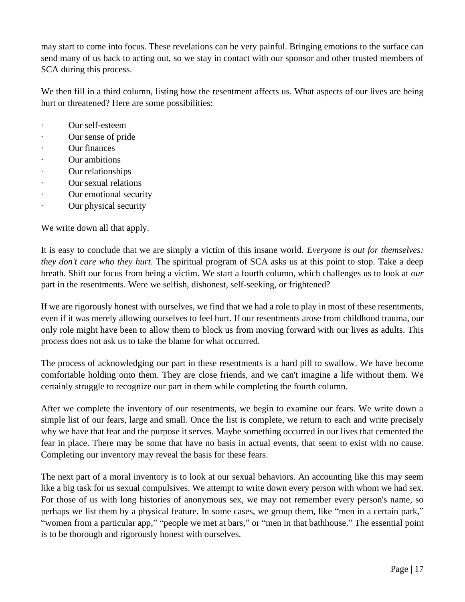may start to come into focus. These revelations can be very painful. Bringing emotions to the surface can send many of us back to acting out, so we stay in contact with our sponsor and other trusted members of SCA during this process.

We then fill in a third column, listing how the resentment affects us. What aspects of our lives are being hurt or threatened? Here are some possibilities:

- Our self-esteem
- · Our sense of pride
- · Our finances
- · Our ambitions
- Our relationships
- Our sexual relations
- · Our emotional security
- Our physical security

We write down all that apply.

It is easy to conclude that we are simply a victim of this insane world. *Everyone is out for themselves: they don't care who they hurt*. The spiritual program of SCA asks us at this point to stop. Take a deep breath. Shift our focus from being a victim. We start a fourth column, which challenges us to look at *our* part in the resentments. Were we selfish, dishonest, self-seeking, or frightened?

If we are rigorously honest with ourselves, we find that we had a role to play in most of these resentments, even if it was merely allowing ourselves to feel hurt. If our resentments arose from childhood trauma, our only role might have been to allow them to block us from moving forward with our lives as adults. This process does not ask us to take the blame for what occurred.

The process of acknowledging our part in these resentments is a hard pill to swallow. We have become comfortable holding onto them. They are close friends, and we can't imagine a life without them. We certainly struggle to recognize our part in them while completing the fourth column.

After we complete the inventory of our resentments, we begin to examine our fears. We write down a simple list of our fears, large and small. Once the list is complete, we return to each and write precisely why we have that fear and the purpose it serves. Maybe something occurred in our lives that cemented the fear in place. There may be some that have no basis in actual events, that seem to exist with no cause. Completing our inventory may reveal the basis for these fears.

The next part of a moral inventory is to look at our sexual behaviors. An accounting like this may seem like a big task for us sexual compulsives. We attempt to write down every person with whom we had sex. For those of us with long histories of anonymous sex, we may not remember every person's name, so perhaps we list them by a physical feature. In some cases, we group them, like "men in a certain park," "women from a particular app," "people we met at bars," or "men in that bathhouse." The essential point is to be thorough and rigorously honest with ourselves.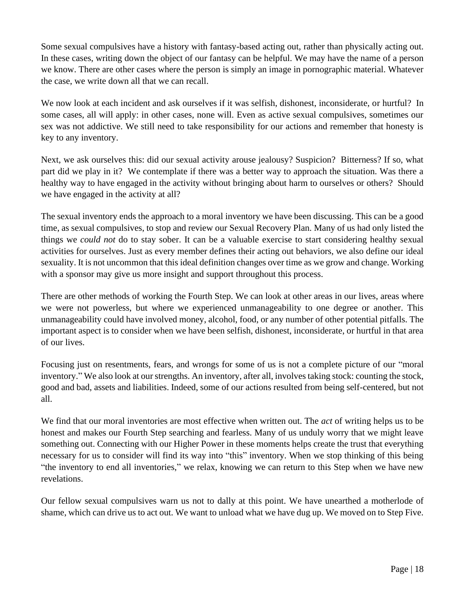Some sexual compulsives have a history with fantasy-based acting out, rather than physically acting out. In these cases, writing down the object of our fantasy can be helpful. We may have the name of a person we know. There are other cases where the person is simply an image in pornographic material. Whatever the case, we write down all that we can recall.

We now look at each incident and ask ourselves if it was selfish, dishonest, inconsiderate, or hurtful? In some cases, all will apply: in other cases, none will. Even as active sexual compulsives, sometimes our sex was not addictive. We still need to take responsibility for our actions and remember that honesty is key to any inventory.

Next, we ask ourselves this: did our sexual activity arouse jealousy? Suspicion? Bitterness? If so, what part did we play in it? We contemplate if there was a better way to approach the situation. Was there a healthy way to have engaged in the activity without bringing about harm to ourselves or others? Should we have engaged in the activity at all?

The sexual inventory ends the approach to a moral inventory we have been discussing. This can be a good time, as sexual compulsives, to stop and review our Sexual Recovery Plan. Many of us had only listed the things we *could not* do to stay sober. It can be a valuable exercise to start considering healthy sexual activities for ourselves. Just as every member defines their acting out behaviors, we also define our ideal sexuality. It is not uncommon that this ideal definition changes over time as we grow and change. Working with a sponsor may give us more insight and support throughout this process.

There are other methods of working the Fourth Step. We can look at other areas in our lives, areas where we were not powerless, but where we experienced unmanageability to one degree or another. This unmanageability could have involved money, alcohol, food, or any number of other potential pitfalls. The important aspect is to consider when we have been selfish, dishonest, inconsiderate, or hurtful in that area of our lives.

Focusing just on resentments, fears, and wrongs for some of us is not a complete picture of our "moral inventory." We also look at our strengths. An inventory, after all, involves taking stock: counting the stock, good and bad, assets and liabilities. Indeed, some of our actions resulted from being self-centered, but not all.

We find that our moral inventories are most effective when written out. The *act* of writing helps us to be honest and makes our Fourth Step searching and fearless. Many of us unduly worry that we might leave something out. Connecting with our Higher Power in these moments helps create the trust that everything necessary for us to consider will find its way into "this" inventory. When we stop thinking of this being "the inventory to end all inventories," we relax, knowing we can return to this Step when we have new revelations.

Our fellow sexual compulsives warn us not to dally at this point. We have unearthed a motherlode of shame, which can drive us to act out. We want to unload what we have dug up. We moved on to Step Five.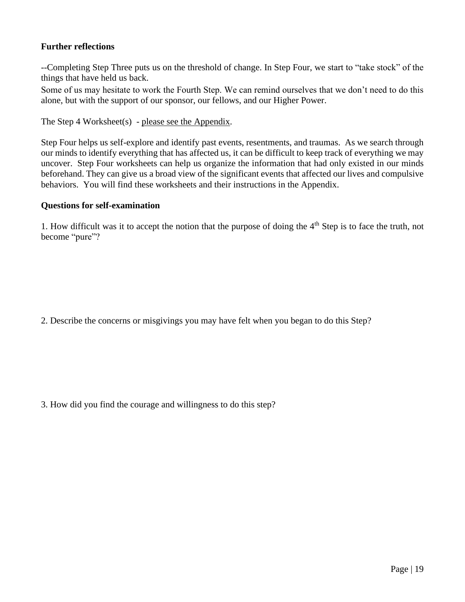#### **Further reflections**

--Completing Step Three puts us on the threshold of change. In Step Four, we start to "take stock" of the things that have held us back.

Some of us may hesitate to work the Fourth Step. We can remind ourselves that we don't need to do this alone, but with the support of our sponsor, our fellows, and our Higher Power.

The Step 4 Worksheet(s) - please see the Appendix.

Step Four helps us self-explore and identify past events, resentments, and traumas. As we search through our minds to identify everything that has affected us, it can be difficult to keep track of everything we may uncover. Step Four worksheets can help us organize the information that had only existed in our minds beforehand. They can give us a broad view of the significant events that affected our lives and compulsive behaviors. You will find these worksheets and their instructions in the Appendix.

#### **Questions for self-examination**

1. How difficult was it to accept the notion that the purpose of doing the  $4<sup>th</sup>$  Step is to face the truth, not become "pure"?

2. Describe the concerns or misgivings you may have felt when you began to do this Step?

3. How did you find the courage and willingness to do this step?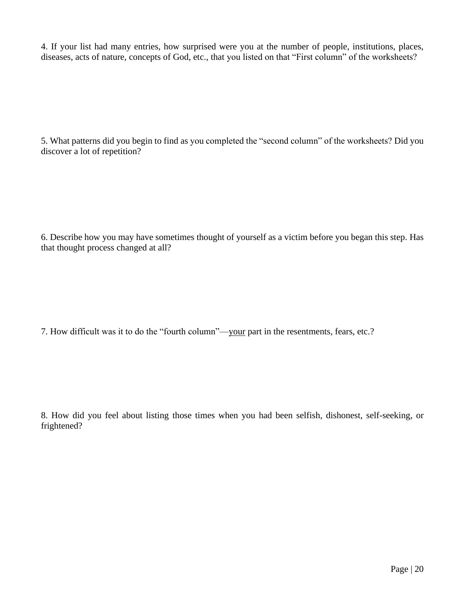4. If your list had many entries, how surprised were you at the number of people, institutions, places, diseases, acts of nature, concepts of God, etc., that you listed on that "First column" of the worksheets?

5. What patterns did you begin to find as you completed the "second column" of the worksheets? Did you discover a lot of repetition?

6. Describe how you may have sometimes thought of yourself as a victim before you began this step. Has that thought process changed at all?

7. How difficult was it to do the "fourth column"—your part in the resentments, fears, etc.?

8. How did you feel about listing those times when you had been selfish, dishonest, self-seeking, or frightened?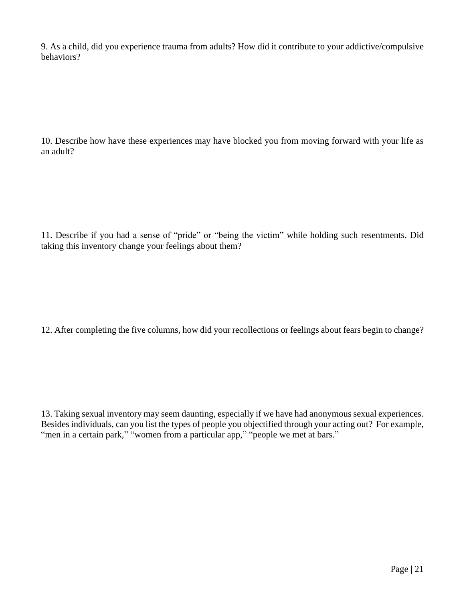9. As a child, did you experience trauma from adults? How did it contribute to your addictive/compulsive behaviors?

10. Describe how have these experiences may have blocked you from moving forward with your life as an adult?

11. Describe if you had a sense of "pride" or "being the victim" while holding such resentments. Did taking this inventory change your feelings about them?

12. After completing the five columns, how did your recollections or feelings about fears begin to change?

13. Taking sexual inventory may seem daunting, especially if we have had anonymous sexual experiences. Besides individuals, can you list the types of people you objectified through your acting out? For example, "men in a certain park," "women from a particular app," "people we met at bars."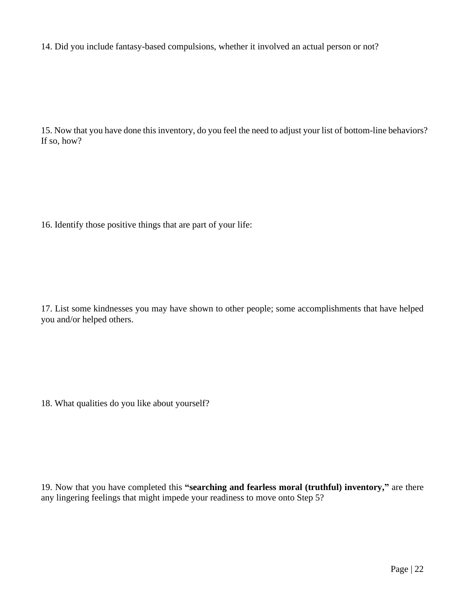14. Did you include fantasy-based compulsions, whether it involved an actual person or not?

15. Now that you have done this inventory, do you feel the need to adjust your list of bottom-line behaviors? If so, how?

16. Identify those positive things that are part of your life:

17. List some kindnesses you may have shown to other people; some accomplishments that have helped you and/or helped others.

18. What qualities do you like about yourself?

19. Now that you have completed this **"searching and fearless moral (truthful) inventory,"** are there any lingering feelings that might impede your readiness to move onto Step 5?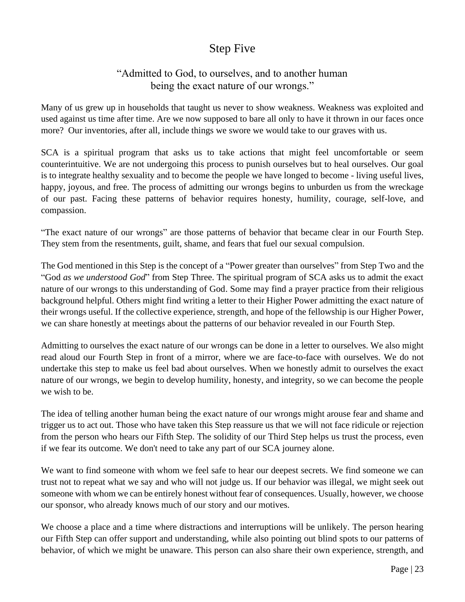## Step Five

## "Admitted to God, to ourselves, and to another human being the exact nature of our wrongs."

Many of us grew up in households that taught us never to show weakness. Weakness was exploited and used against us time after time. Are we now supposed to bare all only to have it thrown in our faces once more? Our inventories, after all, include things we swore we would take to our graves with us.

SCA is a spiritual program that asks us to take actions that might feel uncomfortable or seem counterintuitive. We are not undergoing this process to punish ourselves but to heal ourselves. Our goal is to integrate healthy sexuality and to become the people we have longed to become - living useful lives, happy, joyous, and free. The process of admitting our wrongs begins to unburden us from the wreckage of our past. Facing these patterns of behavior requires honesty, humility, courage, self-love, and compassion.

"The exact nature of our wrongs" are those patterns of behavior that became clear in our Fourth Step. They stem from the resentments, guilt, shame, and fears that fuel our sexual compulsion.

The God mentioned in this Step is the concept of a "Power greater than ourselves" from Step Two and the "God *as we understood God*" from Step Three. The spiritual program of SCA asks us to admit the exact nature of our wrongs to this understanding of God. Some may find a prayer practice from their religious background helpful. Others might find writing a letter to their Higher Power admitting the exact nature of their wrongs useful. If the collective experience, strength, and hope of the fellowship is our Higher Power, we can share honestly at meetings about the patterns of our behavior revealed in our Fourth Step.

Admitting to ourselves the exact nature of our wrongs can be done in a letter to ourselves. We also might read aloud our Fourth Step in front of a mirror, where we are face-to-face with ourselves. We do not undertake this step to make us feel bad about ourselves. When we honestly admit to ourselves the exact nature of our wrongs, we begin to develop humility, honesty, and integrity, so we can become the people we wish to be.

The idea of telling another human being the exact nature of our wrongs might arouse fear and shame and trigger us to act out. Those who have taken this Step reassure us that we will not face ridicule or rejection from the person who hears our Fifth Step. The solidity of our Third Step helps us trust the process, even if we fear its outcome. We don't need to take any part of our SCA journey alone.

We want to find someone with whom we feel safe to hear our deepest secrets. We find someone we can trust not to repeat what we say and who will not judge us. If our behavior was illegal, we might seek out someone with whom we can be entirely honest without fear of consequences. Usually, however, we choose our sponsor, who already knows much of our story and our motives.

We choose a place and a time where distractions and interruptions will be unlikely. The person hearing our Fifth Step can offer support and understanding, while also pointing out blind spots to our patterns of behavior, of which we might be unaware. This person can also share their own experience, strength, and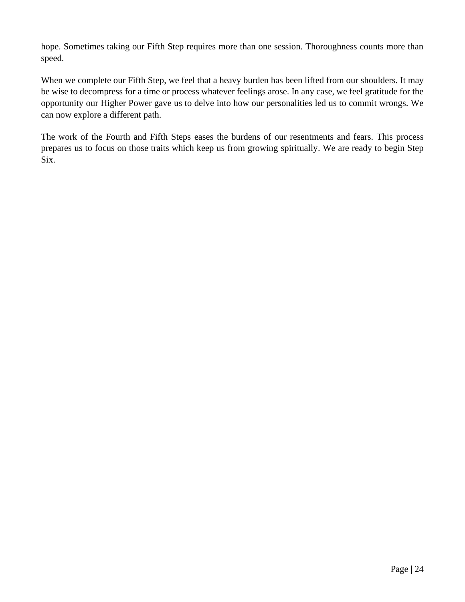hope. Sometimes taking our Fifth Step requires more than one session. Thoroughness counts more than speed.

When we complete our Fifth Step, we feel that a heavy burden has been lifted from our shoulders. It may be wise to decompress for a time or process whatever feelings arose. In any case, we feel gratitude for the opportunity our Higher Power gave us to delve into how our personalities led us to commit wrongs. We can now explore a different path.

The work of the Fourth and Fifth Steps eases the burdens of our resentments and fears. This process prepares us to focus on those traits which keep us from growing spiritually. We are ready to begin Step Six.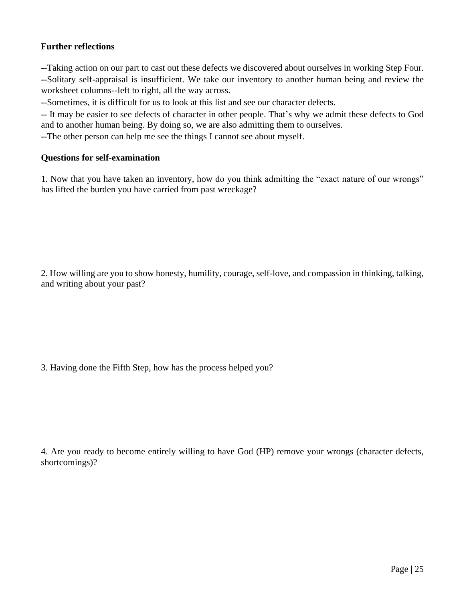#### **Further reflections**

--Taking action on our part to cast out these defects we discovered about ourselves in working Step Four. --Solitary self-appraisal is insufficient. We take our inventory to another human being and review the worksheet columns--left to right, all the way across.

--Sometimes, it is difficult for us to look at this list and see our character defects.

-- It may be easier to see defects of character in other people. That's why we admit these defects to God and to another human being. By doing so, we are also admitting them to ourselves.

--The other person can help me see the things I cannot see about myself.

#### **Questions for self-examination**

1. Now that you have taken an inventory, how do you think admitting the "exact nature of our wrongs" has lifted the burden you have carried from past wreckage?

2. How willing are you to show honesty, humility, courage, self-love, and compassion in thinking, talking, and writing about your past?

3. Having done the Fifth Step, how has the process helped you?

4. Are you ready to become entirely willing to have God (HP) remove your wrongs (character defects, shortcomings)?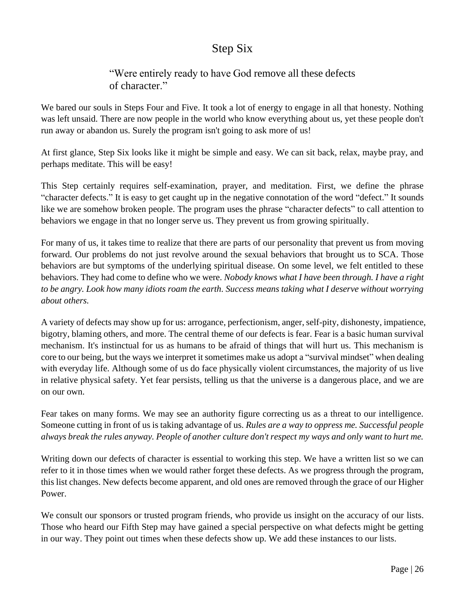## Step Six

## "Were entirely ready to have God remove all these defects of character."

We bared our souls in Steps Four and Five. It took a lot of energy to engage in all that honesty. Nothing was left unsaid. There are now people in the world who know everything about us, yet these people don't run away or abandon us. Surely the program isn't going to ask more of us!

At first glance, Step Six looks like it might be simple and easy. We can sit back, relax, maybe pray, and perhaps meditate. This will be easy!

This Step certainly requires self-examination, prayer, and meditation. First, we define the phrase "character defects." It is easy to get caught up in the negative connotation of the word "defect." It sounds like we are somehow broken people. The program uses the phrase "character defects" to call attention to behaviors we engage in that no longer serve us. They prevent us from growing spiritually.

For many of us, it takes time to realize that there are parts of our personality that prevent us from moving forward. Our problems do not just revolve around the sexual behaviors that brought us to SCA. Those behaviors are but symptoms of the underlying spiritual disease. On some level, we felt entitled to these behaviors. They had come to define who we were. *Nobody knows what I have been through. I have a right to be angry. Look how many idiots roam the earth. Success means taking what I deserve without worrying about others.* 

A variety of defects may show up for us: arrogance, perfectionism, anger, self-pity, dishonesty, impatience, bigotry, blaming others, and more. The central theme of our defects is fear. Fear is a basic human survival mechanism. It's instinctual for us as humans to be afraid of things that will hurt us. This mechanism is core to our being, but the ways we interpret it sometimes make us adopt a "survival mindset" when dealing with everyday life. Although some of us do face physically violent circumstances, the majority of us live in relative physical safety. Yet fear persists, telling us that the universe is a dangerous place, and we are on our own.

Fear takes on many forms. We may see an authority figure correcting us as a threat to our intelligence. Someone cutting in front of us is taking advantage of us. *Rules are a way to oppress me. Successful people always break the rules anyway. People of another culture don't respect my ways and only want to hurt me.*

Writing down our defects of character is essential to working this step. We have a written list so we can refer to it in those times when we would rather forget these defects. As we progress through the program, this list changes. New defects become apparent, and old ones are removed through the grace of our Higher Power.

We consult our sponsors or trusted program friends, who provide us insight on the accuracy of our lists. Those who heard our Fifth Step may have gained a special perspective on what defects might be getting in our way. They point out times when these defects show up. We add these instances to our lists.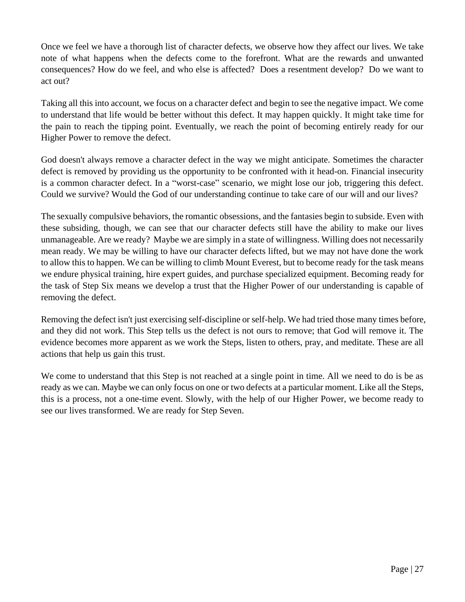Once we feel we have a thorough list of character defects, we observe how they affect our lives. We take note of what happens when the defects come to the forefront. What are the rewards and unwanted consequences? How do we feel, and who else is affected? Does a resentment develop? Do we want to act out?

Taking all this into account, we focus on a character defect and begin to see the negative impact. We come to understand that life would be better without this defect. It may happen quickly. It might take time for the pain to reach the tipping point. Eventually, we reach the point of becoming entirely ready for our Higher Power to remove the defect.

God doesn't always remove a character defect in the way we might anticipate. Sometimes the character defect is removed by providing us the opportunity to be confronted with it head-on. Financial insecurity is a common character defect. In a "worst-case" scenario, we might lose our job, triggering this defect. Could we survive? Would the God of our understanding continue to take care of our will and our lives?

The sexually compulsive behaviors, the romantic obsessions, and the fantasies begin to subside. Even with these subsiding, though, we can see that our character defects still have the ability to make our lives unmanageable. Are we ready? Maybe we are simply in a state of willingness. Willing does not necessarily mean ready. We may be willing to have our character defects lifted, but we may not have done the work to allow this to happen. We can be willing to climb Mount Everest, but to become ready for the task means we endure physical training, hire expert guides, and purchase specialized equipment. Becoming ready for the task of Step Six means we develop a trust that the Higher Power of our understanding is capable of removing the defect.

Removing the defect isn't just exercising self-discipline or self-help. We had tried those many times before, and they did not work. This Step tells us the defect is not ours to remove; that God will remove it. The evidence becomes more apparent as we work the Steps, listen to others, pray, and meditate. These are all actions that help us gain this trust.

We come to understand that this Step is not reached at a single point in time. All we need to do is be as ready as we can. Maybe we can only focus on one or two defects at a particular moment. Like all the Steps, this is a process, not a one-time event. Slowly, with the help of our Higher Power, we become ready to see our lives transformed. We are ready for Step Seven.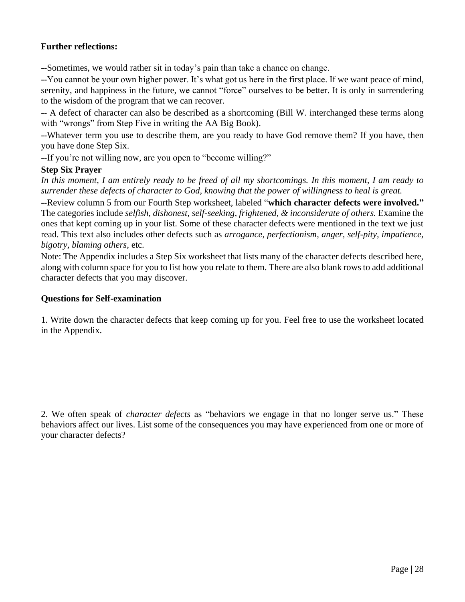#### **Further reflections:**

--Sometimes, we would rather sit in today's pain than take a chance on change.

--You cannot be your own higher power. It's what got us here in the first place. If we want peace of mind, serenity, and happiness in the future, we cannot "force" ourselves to be better. It is only in surrendering to the wisdom of the program that we can recover.

-- A defect of character can also be described as a shortcoming (Bill W. interchanged these terms along with "wrongs" from Step Five in writing the AA Big Book).

--Whatever term you use to describe them, are you ready to have God remove them? If you have, then you have done Step Six.

--If you're not willing now, are you open to "become willing?"

#### **Step Six Prayer**

*In this moment, I am entirely ready to be freed of all my shortcomings. In this moment, I am ready to surrender these defects of character to God, knowing that the power of willingness to heal is great.*

**--**Review column 5 from our Fourth Step worksheet, labeled "**which character defects were involved."** The categories include *selfish, dishonest*, *self-seeking, frightened, & inconsiderate of others.* Examine the ones that kept coming up in your list. Some of these character defects were mentioned in the text we just read. This text also includes other defects such as *arrogance, perfectionism, anger, self-pity, impatience, bigotry, blaming others,* etc.

Note: The Appendix includes a Step Six worksheet that lists many of the character defects described here, along with column space for you to list how you relate to them. There are also blank rows to add additional character defects that you may discover.

#### **Questions for Self-examination**

1. Write down the character defects that keep coming up for you. Feel free to use the worksheet located in the Appendix.

2. We often speak of *character defects* as "behaviors we engage in that no longer serve us." These behaviors affect our lives. List some of the consequences you may have experienced from one or more of your character defects?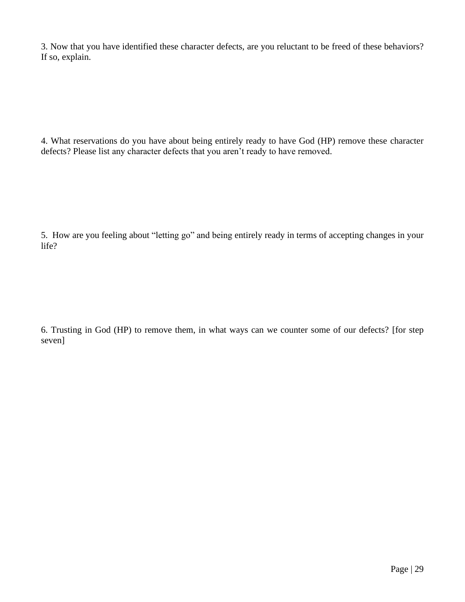3. Now that you have identified these character defects, are you reluctant to be freed of these behaviors? If so, explain.

4. What reservations do you have about being entirely ready to have God (HP) remove these character defects? Please list any character defects that you aren't ready to have removed.

5. How are you feeling about "letting go" and being entirely ready in terms of accepting changes in your life?

6. Trusting in God (HP) to remove them, in what ways can we counter some of our defects? [for step seven]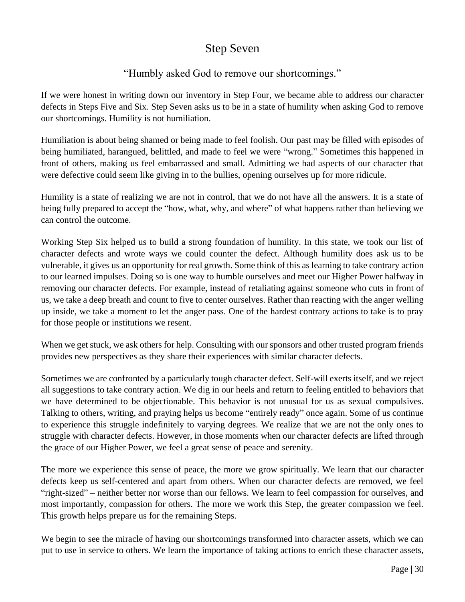## Step Seven

## "Humbly asked God to remove our shortcomings."

If we were honest in writing down our inventory in Step Four, we became able to address our character defects in Steps Five and Six. Step Seven asks us to be in a state of humility when asking God to remove our shortcomings. Humility is not humiliation.

Humiliation is about being shamed or being made to feel foolish. Our past may be filled with episodes of being humiliated, harangued, belittled, and made to feel we were "wrong." Sometimes this happened in front of others, making us feel embarrassed and small. Admitting we had aspects of our character that were defective could seem like giving in to the bullies, opening ourselves up for more ridicule.

Humility is a state of realizing we are not in control, that we do not have all the answers. It is a state of being fully prepared to accept the "how, what, why, and where" of what happens rather than believing we can control the outcome.

Working Step Six helped us to build a strong foundation of humility. In this state, we took our list of character defects and wrote ways we could counter the defect. Although humility does ask us to be vulnerable, it gives us an opportunity for real growth. Some think of this as learning to take contrary action to our learned impulses. Doing so is one way to humble ourselves and meet our Higher Power halfway in removing our character defects. For example, instead of retaliating against someone who cuts in front of us, we take a deep breath and count to five to center ourselves. Rather than reacting with the anger welling up inside, we take a moment to let the anger pass. One of the hardest contrary actions to take is to pray for those people or institutions we resent.

When we get stuck, we ask others for help. Consulting with our sponsors and other trusted program friends provides new perspectives as they share their experiences with similar character defects.

Sometimes we are confronted by a particularly tough character defect. Self-will exerts itself, and we reject all suggestions to take contrary action. We dig in our heels and return to feeling entitled to behaviors that we have determined to be objectionable. This behavior is not unusual for us as sexual compulsives. Talking to others, writing, and praying helps us become "entirely ready" once again. Some of us continue to experience this struggle indefinitely to varying degrees. We realize that we are not the only ones to struggle with character defects. However, in those moments when our character defects are lifted through the grace of our Higher Power, we feel a great sense of peace and serenity.

The more we experience this sense of peace, the more we grow spiritually. We learn that our character defects keep us self-centered and apart from others. When our character defects are removed, we feel "right-sized" – neither better nor worse than our fellows. We learn to feel compassion for ourselves, and most importantly, compassion for others. The more we work this Step, the greater compassion we feel. This growth helps prepare us for the remaining Steps.

We begin to see the miracle of having our shortcomings transformed into character assets, which we can put to use in service to others. We learn the importance of taking actions to enrich these character assets,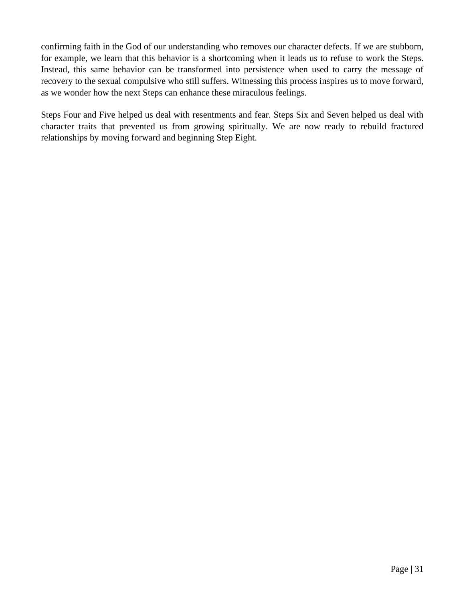confirming faith in the God of our understanding who removes our character defects. If we are stubborn, for example, we learn that this behavior is a shortcoming when it leads us to refuse to work the Steps. Instead, this same behavior can be transformed into persistence when used to carry the message of recovery to the sexual compulsive who still suffers. Witnessing this process inspires us to move forward, as we wonder how the next Steps can enhance these miraculous feelings.

Steps Four and Five helped us deal with resentments and fear. Steps Six and Seven helped us deal with character traits that prevented us from growing spiritually. We are now ready to rebuild fractured relationships by moving forward and beginning Step Eight.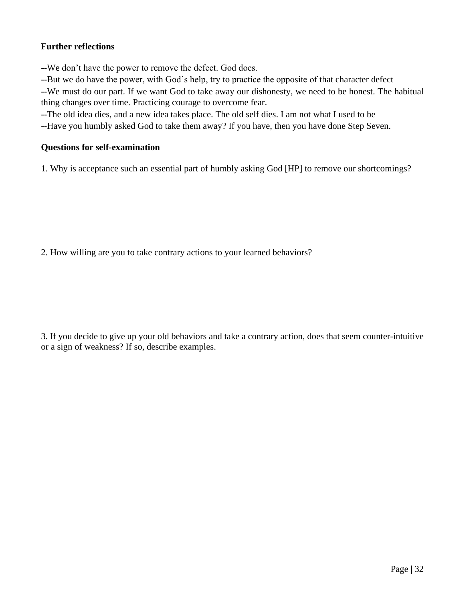### **Further reflections**

--We don't have the power to remove the defect. God does.

--But we do have the power, with God's help, try to practice the opposite of that character defect

--We must do our part. If we want God to take away our dishonesty, we need to be honest. The habitual thing changes over time. Practicing courage to overcome fear.

--The old idea dies, and a new idea takes place. The old self dies. I am not what I used to be

--Have you humbly asked God to take them away? If you have, then you have done Step Seven.

#### **Questions for self-examination**

1. Why is acceptance such an essential part of humbly asking God [HP] to remove our shortcomings?

2. How willing are you to take contrary actions to your learned behaviors?

3. If you decide to give up your old behaviors and take a contrary action, does that seem counter-intuitive or a sign of weakness? If so, describe examples.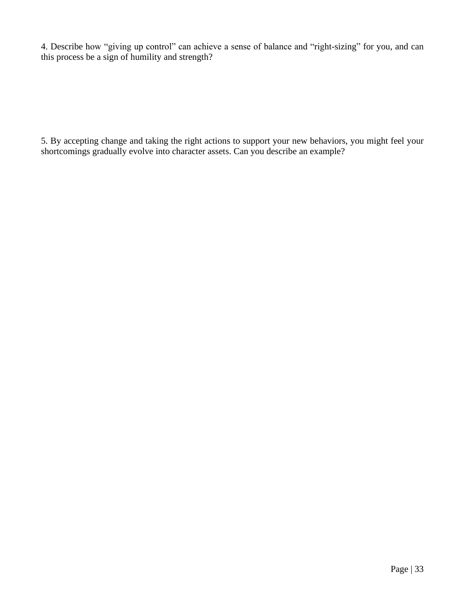4. Describe how "giving up control" can achieve a sense of balance and "right-sizing" for you, and can this process be a sign of humility and strength?

5. By accepting change and taking the right actions to support your new behaviors, you might feel your shortcomings gradually evolve into character assets. Can you describe an example?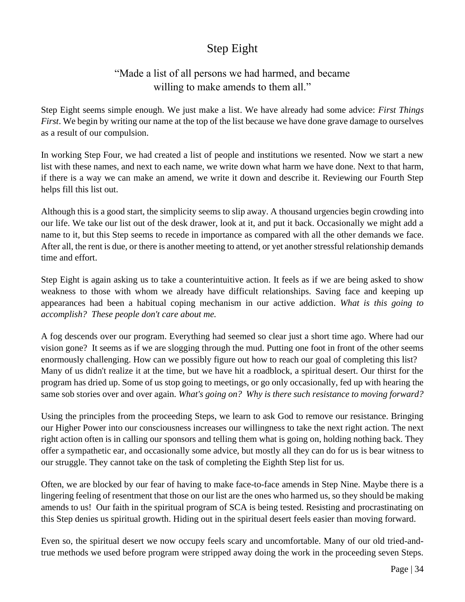## Step Eight

## "Made a list of all persons we had harmed, and became willing to make amends to them all."

Step Eight seems simple enough. We just make a list. We have already had some advice: *First Things First*. We begin by writing our name at the top of the list because we have done grave damage to ourselves as a result of our compulsion.

In working Step Four, we had created a list of people and institutions we resented. Now we start a new list with these names, and next to each name, we write down what harm we have done. Next to that harm, if there is a way we can make an amend, we write it down and describe it. Reviewing our Fourth Step helps fill this list out.

Although this is a good start, the simplicity seems to slip away. A thousand urgencies begin crowding into our life. We take our list out of the desk drawer, look at it, and put it back. Occasionally we might add a name to it, but this Step seems to recede in importance as compared with all the other demands we face. After all, the rent is due, or there is another meeting to attend, or yet another stressful relationship demands time and effort.

Step Eight is again asking us to take a counterintuitive action. It feels as if we are being asked to show weakness to those with whom we already have difficult relationships. Saving face and keeping up appearances had been a habitual coping mechanism in our active addiction. *What is this going to accomplish? These people don't care about me.*

A fog descends over our program. Everything had seemed so clear just a short time ago. Where had our vision gone? It seems as if we are slogging through the mud. Putting one foot in front of the other seems enormously challenging. How can we possibly figure out how to reach our goal of completing this list? Many of us didn't realize it at the time, but we have hit a roadblock, a spiritual desert. Our thirst for the program has dried up. Some of us stop going to meetings, or go only occasionally, fed up with hearing the same sob stories over and over again. *What's going on? Why is there such resistance to moving forward?*

Using the principles from the proceeding Steps, we learn to ask God to remove our resistance. Bringing our Higher Power into our consciousness increases our willingness to take the next right action. The next right action often is in calling our sponsors and telling them what is going on, holding nothing back. They offer a sympathetic ear, and occasionally some advice, but mostly all they can do for us is bear witness to our struggle. They cannot take on the task of completing the Eighth Step list for us.

Often, we are blocked by our fear of having to make face-to-face amends in Step Nine. Maybe there is a lingering feeling of resentment that those on our list are the ones who harmed us, so they should be making amends to us! Our faith in the spiritual program of SCA is being tested. Resisting and procrastinating on this Step denies us spiritual growth. Hiding out in the spiritual desert feels easier than moving forward.

Even so, the spiritual desert we now occupy feels scary and uncomfortable. Many of our old tried-andtrue methods we used before program were stripped away doing the work in the proceeding seven Steps.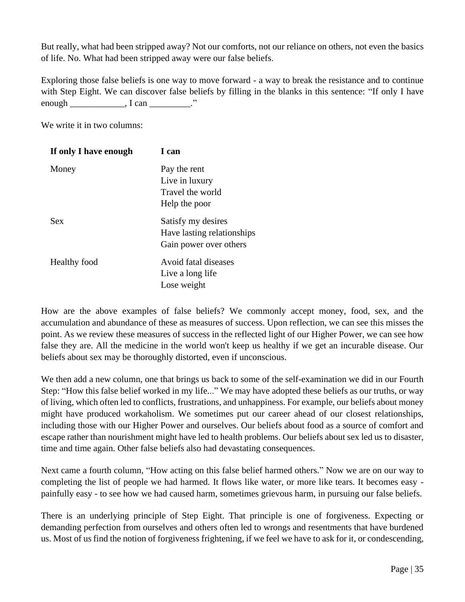But really, what had been stripped away? Not our comforts, not our reliance on others, not even the basics of life. No. What had been stripped away were our false beliefs.

Exploring those false beliefs is one way to move forward - a way to break the resistance and to continue with Step Eight. We can discover false beliefs by filling in the blanks in this sentence: "If only I have enough \_\_\_\_\_\_\_\_\_\_\_\_, I can \_\_\_\_\_\_\_\_\_."

We write it in two columns:

| If only I have enough | I can                      |
|-----------------------|----------------------------|
| Money                 | Pay the rent               |
|                       | Live in luxury             |
|                       | Travel the world           |
|                       | Help the poor              |
| <b>Sex</b>            | Satisfy my desires         |
|                       | Have lasting relationships |
|                       | Gain power over others     |
| <b>Healthy</b> food   | Avoid fatal diseases       |
|                       | Live a long life           |
|                       | Lose weight                |

How are the above examples of false beliefs? We commonly accept money, food, sex, and the accumulation and abundance of these as measures of success. Upon reflection, we can see this misses the point. As we review these measures of success in the reflected light of our Higher Power, we can see how false they are. All the medicine in the world won't keep us healthy if we get an incurable disease. Our beliefs about sex may be thoroughly distorted, even if unconscious.

We then add a new column, one that brings us back to some of the self-examination we did in our Fourth Step: "How this false belief worked in my life..." We may have adopted these beliefs as our truths, or way of living, which often led to conflicts, frustrations, and unhappiness. For example, our beliefs about money might have produced workaholism. We sometimes put our career ahead of our closest relationships, including those with our Higher Power and ourselves. Our beliefs about food as a source of comfort and escape rather than nourishment might have led to health problems. Our beliefs about sex led us to disaster, time and time again. Other false beliefs also had devastating consequences.

Next came a fourth column, "How acting on this false belief harmed others." Now we are on our way to completing the list of people we had harmed. It flows like water, or more like tears. It becomes easy painfully easy - to see how we had caused harm, sometimes grievous harm, in pursuing our false beliefs.

There is an underlying principle of Step Eight. That principle is one of forgiveness. Expecting or demanding perfection from ourselves and others often led to wrongs and resentments that have burdened us. Most of us find the notion of forgiveness frightening, if we feel we have to ask for it, or condescending,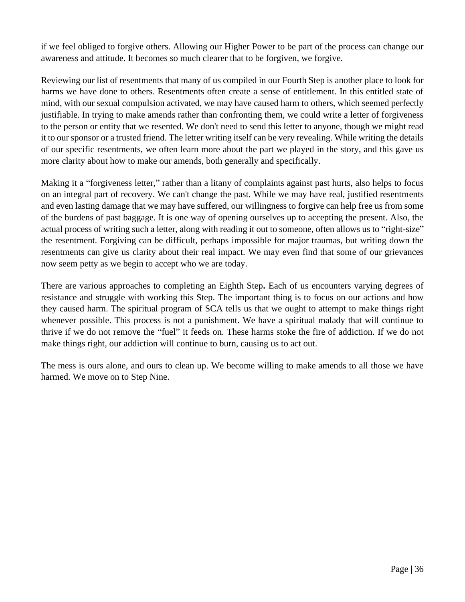if we feel obliged to forgive others. Allowing our Higher Power to be part of the process can change our awareness and attitude. It becomes so much clearer that to be forgiven, we forgive.

Reviewing our list of resentments that many of us compiled in our Fourth Step is another place to look for harms we have done to others. Resentments often create a sense of entitlement. In this entitled state of mind, with our sexual compulsion activated, we may have caused harm to others, which seemed perfectly justifiable. In trying to make amends rather than confronting them, we could write a letter of forgiveness to the person or entity that we resented. We don't need to send this letter to anyone, though we might read it to our sponsor or a trusted friend. The letter writing itself can be very revealing. While writing the details of our specific resentments, we often learn more about the part we played in the story, and this gave us more clarity about how to make our amends, both generally and specifically.

Making it a "forgiveness letter," rather than a litany of complaints against past hurts, also helps to focus on an integral part of recovery. We can't change the past. While we may have real, justified resentments and even lasting damage that we may have suffered, our willingness to forgive can help free us from some of the burdens of past baggage. It is one way of opening ourselves up to accepting the present. Also, the actual process of writing such a letter, along with reading it out to someone, often allows us to "right-size" the resentment. Forgiving can be difficult, perhaps impossible for major traumas, but writing down the resentments can give us clarity about their real impact. We may even find that some of our grievances now seem petty as we begin to accept who we are today.

There are various approaches to completing an Eighth Step**.** Each of us encounters varying degrees of resistance and struggle with working this Step. The important thing is to focus on our actions and how they caused harm. The spiritual program of SCA tells us that we ought to attempt to make things right whenever possible. This process is not a punishment. We have a spiritual malady that will continue to thrive if we do not remove the "fuel" it feeds on. These harms stoke the fire of addiction. If we do not make things right, our addiction will continue to burn, causing us to act out.

The mess is ours alone, and ours to clean up. We become willing to make amends to all those we have harmed. We move on to Step Nine.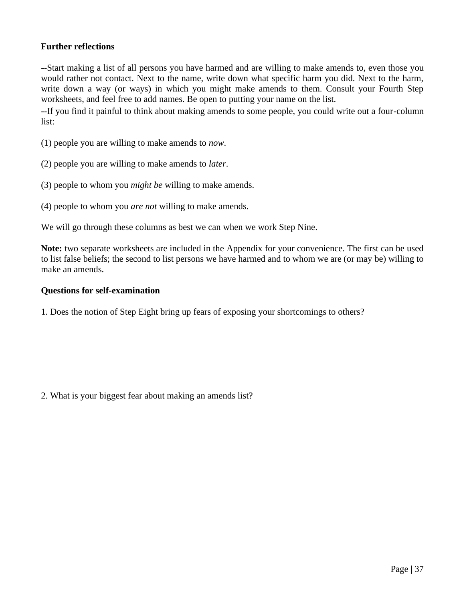#### **Further reflections**

--Start making a list of all persons you have harmed and are willing to make amends to, even those you would rather not contact. Next to the name, write down what specific harm you did. Next to the harm, write down a way (or ways) in which you might make amends to them. Consult your Fourth Step worksheets, and feel free to add names. Be open to putting your name on the list.

--If you find it painful to think about making amends to some people, you could write out a four-column list:

(1) people you are willing to make amends to *now*.

(2) people you are willing to make amends to *later*.

(3) people to whom you *might be* willing to make amends.

(4) people to whom you *are not* willing to make amends.

We will go through these columns as best we can when we work Step Nine.

**Note:** two separate worksheets are included in the Appendix for your convenience. The first can be used to list false beliefs; the second to list persons we have harmed and to whom we are (or may be) willing to make an amends.

#### **Questions for self-examination**

1. Does the notion of Step Eight bring up fears of exposing your shortcomings to others?

2. What is your biggest fear about making an amends list?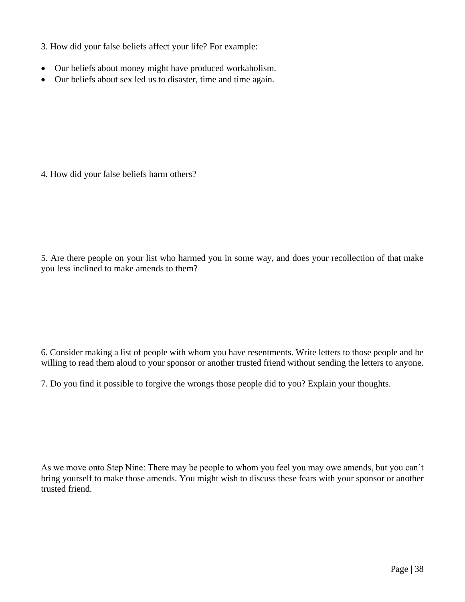- 3. How did your false beliefs affect your life? For example:
- Our beliefs about money might have produced workaholism.
- Our beliefs about sex led us to disaster, time and time again.

4. How did your false beliefs harm others?

5. Are there people on your list who harmed you in some way, and does your recollection of that make you less inclined to make amends to them?

6. Consider making a list of people with whom you have resentments. Write letters to those people and be willing to read them aloud to your sponsor or another trusted friend without sending the letters to anyone.

7. Do you find it possible to forgive the wrongs those people did to you? Explain your thoughts.

As we move onto Step Nine: There may be people to whom you feel you may owe amends, but you can't bring yourself to make those amends. You might wish to discuss these fears with your sponsor or another trusted friend.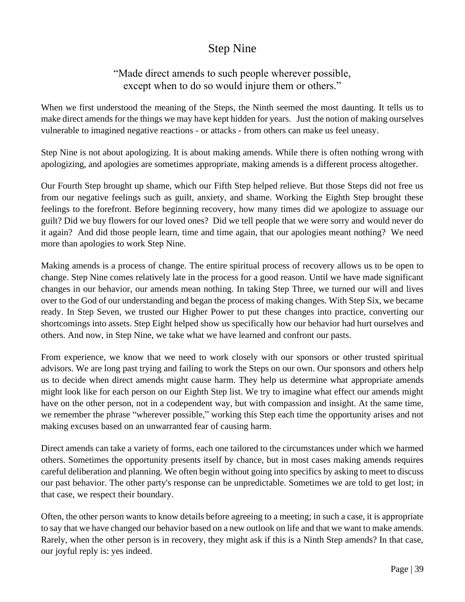## Step Nine

## "Made direct amends to such people wherever possible, except when to do so would injure them or others."

When we first understood the meaning of the Steps, the Ninth seemed the most daunting. It tells us to make direct amends for the things we may have kept hidden for years. Just the notion of making ourselves vulnerable to imagined negative reactions - or attacks - from others can make us feel uneasy.

Step Nine is not about apologizing. It is about making amends. While there is often nothing wrong with apologizing, and apologies are sometimes appropriate, making amends is a different process altogether.

Our Fourth Step brought up shame, which our Fifth Step helped relieve. But those Steps did not free us from our negative feelings such as guilt, anxiety, and shame. Working the Eighth Step brought these feelings to the forefront. Before beginning recovery, how many times did we apologize to assuage our guilt? Did we buy flowers for our loved ones? Did we tell people that we were sorry and would never do it again? And did those people learn, time and time again, that our apologies meant nothing? We need more than apologies to work Step Nine.

Making amends is a process of change. The entire spiritual process of recovery allows us to be open to change. Step Nine comes relatively late in the process for a good reason. Until we have made significant changes in our behavior, our amends mean nothing. In taking Step Three, we turned our will and lives over to the God of our understanding and began the process of making changes. With Step Six, we became ready. In Step Seven, we trusted our Higher Power to put these changes into practice, converting our shortcomings into assets. Step Eight helped show us specifically how our behavior had hurt ourselves and others. And now, in Step Nine, we take what we have learned and confront our pasts.

From experience, we know that we need to work closely with our sponsors or other trusted spiritual advisors. We are long past trying and failing to work the Steps on our own. Our sponsors and others help us to decide when direct amends might cause harm. They help us determine what appropriate amends might look like for each person on our Eighth Step list. We try to imagine what effect our amends might have on the other person, not in a codependent way, but with compassion and insight. At the same time, we remember the phrase "wherever possible," working this Step each time the opportunity arises and not making excuses based on an unwarranted fear of causing harm.

Direct amends can take a variety of forms, each one tailored to the circumstances under which we harmed others. Sometimes the opportunity presents itself by chance, but in most cases making amends requires careful deliberation and planning. We often begin without going into specifics by asking to meet to discuss our past behavior. The other party's response can be unpredictable. Sometimes we are told to get lost; in that case, we respect their boundary.

Often, the other person wants to know details before agreeing to a meeting; in such a case, it is appropriate to say that we have changed our behavior based on a new outlook on life and that we want to make amends. Rarely, when the other person is in recovery, they might ask if this is a Ninth Step amends? In that case, our joyful reply is: yes indeed.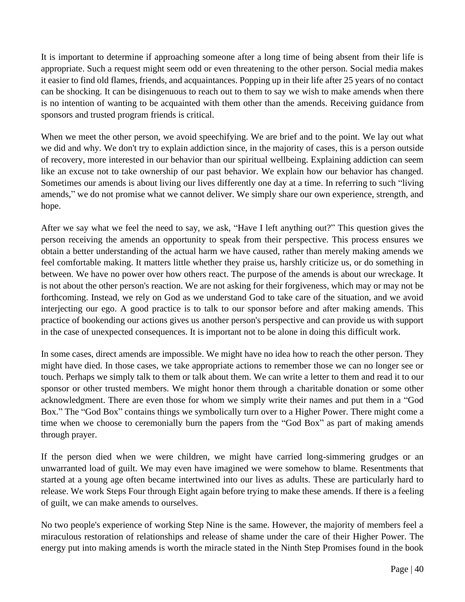It is important to determine if approaching someone after a long time of being absent from their life is appropriate. Such a request might seem odd or even threatening to the other person. Social media makes it easier to find old flames, friends, and acquaintances. Popping up in their life after 25 years of no contact can be shocking. It can be disingenuous to reach out to them to say we wish to make amends when there is no intention of wanting to be acquainted with them other than the amends. Receiving guidance from sponsors and trusted program friends is critical.

When we meet the other person, we avoid speechifying. We are brief and to the point. We lay out what we did and why. We don't try to explain addiction since, in the majority of cases, this is a person outside of recovery, more interested in our behavior than our spiritual wellbeing. Explaining addiction can seem like an excuse not to take ownership of our past behavior. We explain how our behavior has changed. Sometimes our amends is about living our lives differently one day at a time. In referring to such "living amends," we do not promise what we cannot deliver. We simply share our own experience, strength, and hope.

After we say what we feel the need to say, we ask, "Have I left anything out?" This question gives the person receiving the amends an opportunity to speak from their perspective. This process ensures we obtain a better understanding of the actual harm we have caused, rather than merely making amends we feel comfortable making. It matters little whether they praise us, harshly criticize us, or do something in between. We have no power over how others react. The purpose of the amends is about our wreckage. It is not about the other person's reaction. We are not asking for their forgiveness, which may or may not be forthcoming. Instead, we rely on God as we understand God to take care of the situation, and we avoid interjecting our ego. A good practice is to talk to our sponsor before and after making amends. This practice of bookending our actions gives us another person's perspective and can provide us with support in the case of unexpected consequences. It is important not to be alone in doing this difficult work.

In some cases, direct amends are impossible. We might have no idea how to reach the other person. They might have died. In those cases, we take appropriate actions to remember those we can no longer see or touch. Perhaps we simply talk to them or talk about them. We can write a letter to them and read it to our sponsor or other trusted members. We might honor them through a charitable donation or some other acknowledgment. There are even those for whom we simply write their names and put them in a "God Box." The "God Box" contains things we symbolically turn over to a Higher Power. There might come a time when we choose to ceremonially burn the papers from the "God Box" as part of making amends through prayer.

If the person died when we were children, we might have carried long-simmering grudges or an unwarranted load of guilt. We may even have imagined we were somehow to blame. Resentments that started at a young age often became intertwined into our lives as adults. These are particularly hard to release. We work Steps Four through Eight again before trying to make these amends. If there is a feeling of guilt, we can make amends to ourselves.

No two people's experience of working Step Nine is the same. However, the majority of members feel a miraculous restoration of relationships and release of shame under the care of their Higher Power. The energy put into making amends is worth the miracle stated in the Ninth Step Promises found in the book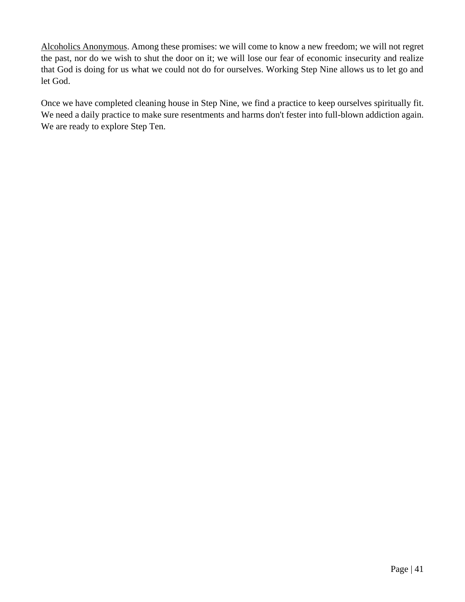Alcoholics Anonymous. Among these promises: we will come to know a new freedom; we will not regret the past, nor do we wish to shut the door on it; we will lose our fear of economic insecurity and realize that God is doing for us what we could not do for ourselves. Working Step Nine allows us to let go and let God.

Once we have completed cleaning house in Step Nine, we find a practice to keep ourselves spiritually fit. We need a daily practice to make sure resentments and harms don't fester into full-blown addiction again. We are ready to explore Step Ten.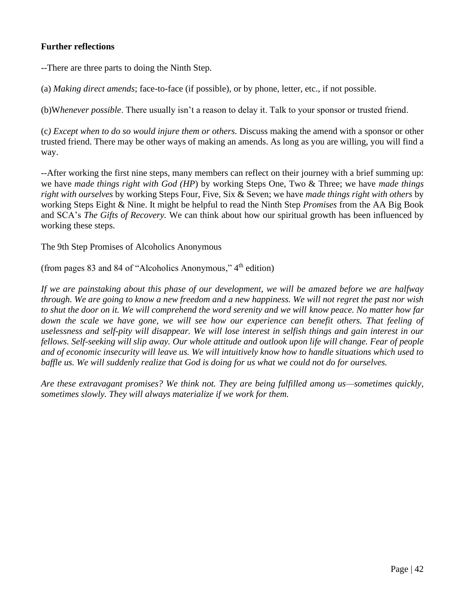#### **Further reflections**

--There are three parts to doing the Ninth Step.

(a) *Making direct amends*; face-to-face (if possible), or by phone, letter, etc., if not possible.

(b)W*henever possible*. There usually isn't a reason to delay it. Talk to your sponsor or trusted friend.

(c*) Except when to do so would injure them or others.* Discuss making the amend with a sponsor or other trusted friend. There may be other ways of making an amends. As long as you are willing, you will find a way.

--After working the first nine steps, many members can reflect on their journey with a brief summing up: we have *made things right with God (HP*) by working Steps One, Two & Three; we have *made things right with ourselves* by working Steps Four, Five, Six & Seven; we have *made things right with others* by working Steps Eight & Nine. It might be helpful to read the Ninth Step *Promises* from the AA Big Book and SCA's *The Gifts of Recovery.* We can think about how our spiritual growth has been influenced by working these steps.

The 9th Step Promises of Alcoholics Anonymous

(from pages 83 and 84 of "Alcoholics Anonymous,"  $4<sup>th</sup>$  edition)

*If we are painstaking about this phase of our development, we will be amazed before we are halfway through. We are going to know a new freedom and a new happiness. We will not regret the past nor wish to shut the door on it. We will comprehend the word serenity and we will know peace. No matter how far*  down the scale we have gone, we will see how our experience can benefit others. That feeling of *uselessness and self-pity will disappear. We will lose interest in selfish things and gain interest in our fellows. Self-seeking will slip away. Our whole attitude and outlook upon life will change. Fear of people and of economic insecurity will leave us. We will intuitively know how to handle situations which used to baffle us. We will suddenly realize that God is doing for us what we could not do for ourselves.*

*Are these extravagant promises? We think not. They are being fulfilled among us—sometimes quickly, sometimes slowly. They will always materialize if we work for them.*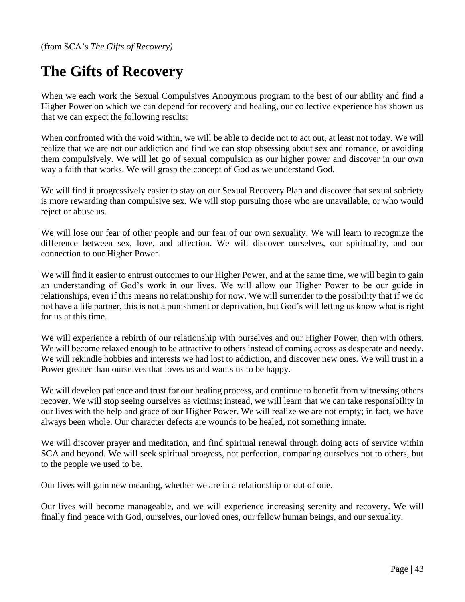(from SCA's *The Gifts of Recovery)*

## **The Gifts of Recovery**

When we each work the Sexual Compulsives Anonymous program to the best of our ability and find a Higher Power on which we can depend for recovery and healing, our collective experience has shown us that we can expect the following results:

When confronted with the void within, we will be able to decide not to act out, at least not today. We will realize that we are not our addiction and find we can stop obsessing about sex and romance, or avoiding them compulsively. We will let go of sexual compulsion as our higher power and discover in our own way a faith that works. We will grasp the concept of God as we understand God.

We will find it progressively easier to stay on our Sexual Recovery Plan and discover that sexual sobriety is more rewarding than compulsive sex. We will stop pursuing those who are unavailable, or who would reject or abuse us.

We will lose our fear of other people and our fear of our own sexuality. We will learn to recognize the difference between sex, love, and affection. We will discover ourselves, our spirituality, and our connection to our Higher Power.

We will find it easier to entrust outcomes to our Higher Power, and at the same time, we will begin to gain an understanding of God's work in our lives. We will allow our Higher Power to be our guide in relationships, even if this means no relationship for now. We will surrender to the possibility that if we do not have a life partner, this is not a punishment or deprivation, but God's will letting us know what is right for us at this time.

We will experience a rebirth of our relationship with ourselves and our Higher Power, then with others. We will become relaxed enough to be attractive to others instead of coming across as desperate and needy. We will rekindle hobbies and interests we had lost to addiction, and discover new ones. We will trust in a Power greater than ourselves that loves us and wants us to be happy.

We will develop patience and trust for our healing process, and continue to benefit from witnessing others recover. We will stop seeing ourselves as victims; instead, we will learn that we can take responsibility in our lives with the help and grace of our Higher Power. We will realize we are not empty; in fact, we have always been whole. Our character defects are wounds to be healed, not something innate.

We will discover prayer and meditation, and find spiritual renewal through doing acts of service within SCA and beyond. We will seek spiritual progress, not perfection, comparing ourselves not to others, but to the people we used to be.

Our lives will gain new meaning, whether we are in a relationship or out of one.

Our lives will become manageable, and we will experience increasing serenity and recovery. We will finally find peace with God, ourselves, our loved ones, our fellow human beings, and our sexuality.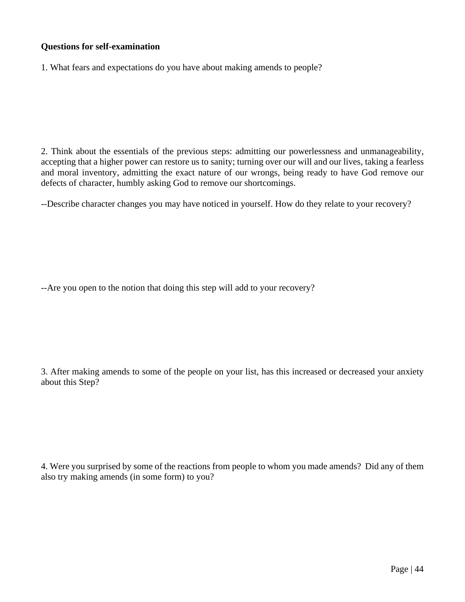#### **Questions for self-examination**

1. What fears and expectations do you have about making amends to people?

2. Think about the essentials of the previous steps: admitting our powerlessness and unmanageability, accepting that a higher power can restore us to sanity; turning over our will and our lives, taking a fearless and moral inventory, admitting the exact nature of our wrongs, being ready to have God remove our defects of character, humbly asking God to remove our shortcomings.

--Describe character changes you may have noticed in yourself. How do they relate to your recovery?

--Are you open to the notion that doing this step will add to your recovery?

3. After making amends to some of the people on your list, has this increased or decreased your anxiety about this Step?

4. Were you surprised by some of the reactions from people to whom you made amends? Did any of them also try making amends (in some form) to you?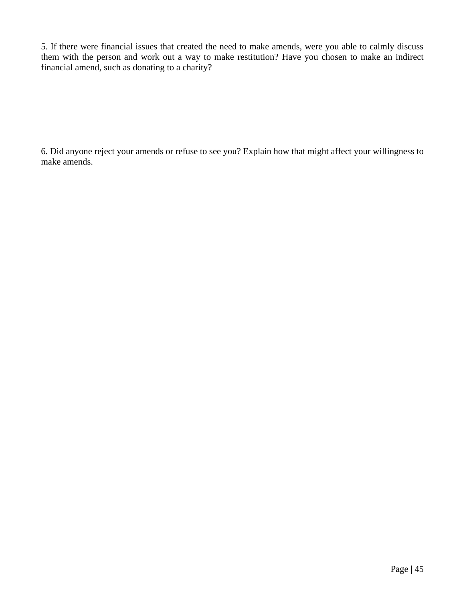5. If there were financial issues that created the need to make amends, were you able to calmly discuss them with the person and work out a way to make restitution? Have you chosen to make an indirect financial amend, such as donating to a charity?

6. Did anyone reject your amends or refuse to see you? Explain how that might affect your willingness to make amends.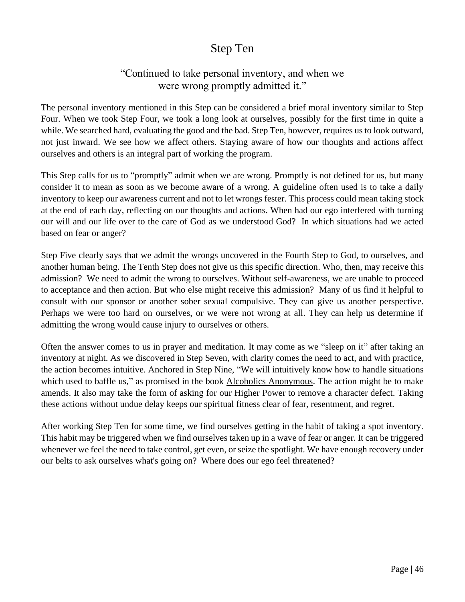## Step Ten

## "Continued to take personal inventory, and when we were wrong promptly admitted it."

The personal inventory mentioned in this Step can be considered a brief moral inventory similar to Step Four. When we took Step Four, we took a long look at ourselves, possibly for the first time in quite a while. We searched hard, evaluating the good and the bad. Step Ten, however, requires us to look outward, not just inward. We see how we affect others. Staying aware of how our thoughts and actions affect ourselves and others is an integral part of working the program.

This Step calls for us to "promptly" admit when we are wrong. Promptly is not defined for us, but many consider it to mean as soon as we become aware of a wrong. A guideline often used is to take a daily inventory to keep our awareness current and not to let wrongs fester. This process could mean taking stock at the end of each day, reflecting on our thoughts and actions. When had our ego interfered with turning our will and our life over to the care of God as we understood God? In which situations had we acted based on fear or anger?

Step Five clearly says that we admit the wrongs uncovered in the Fourth Step to God, to ourselves, and another human being. The Tenth Step does not give us this specific direction. Who, then, may receive this admission? We need to admit the wrong to ourselves. Without self-awareness, we are unable to proceed to acceptance and then action. But who else might receive this admission? Many of us find it helpful to consult with our sponsor or another sober sexual compulsive. They can give us another perspective. Perhaps we were too hard on ourselves, or we were not wrong at all. They can help us determine if admitting the wrong would cause injury to ourselves or others.

Often the answer comes to us in prayer and meditation. It may come as we "sleep on it" after taking an inventory at night. As we discovered in Step Seven, with clarity comes the need to act, and with practice, the action becomes intuitive. Anchored in Step Nine, "We will intuitively know how to handle situations which used to baffle us," as promised in the book Alcoholics Anonymous. The action might be to make amends. It also may take the form of asking for our Higher Power to remove a character defect. Taking these actions without undue delay keeps our spiritual fitness clear of fear, resentment, and regret.

After working Step Ten for some time, we find ourselves getting in the habit of taking a spot inventory. This habit may be triggered when we find ourselves taken up in a wave of fear or anger. It can be triggered whenever we feel the need to take control, get even, or seize the spotlight. We have enough recovery under our belts to ask ourselves what's going on? Where does our ego feel threatened?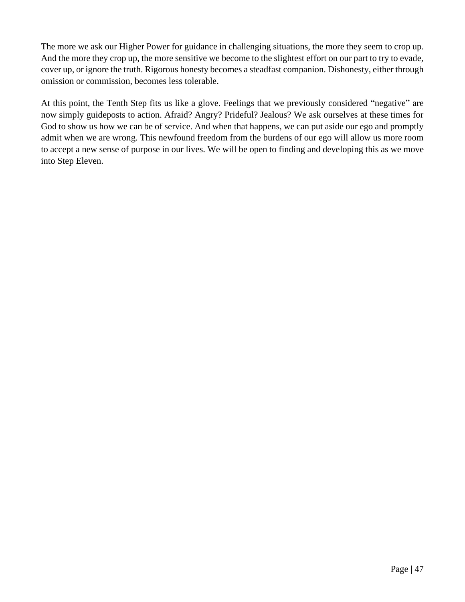The more we ask our Higher Power for guidance in challenging situations, the more they seem to crop up. And the more they crop up, the more sensitive we become to the slightest effort on our part to try to evade, cover up, or ignore the truth. Rigorous honesty becomes a steadfast companion. Dishonesty, either through omission or commission, becomes less tolerable.

At this point, the Tenth Step fits us like a glove. Feelings that we previously considered "negative" are now simply guideposts to action. Afraid? Angry? Prideful? Jealous? We ask ourselves at these times for God to show us how we can be of service. And when that happens, we can put aside our ego and promptly admit when we are wrong. This newfound freedom from the burdens of our ego will allow us more room to accept a new sense of purpose in our lives. We will be open to finding and developing this as we move into Step Eleven.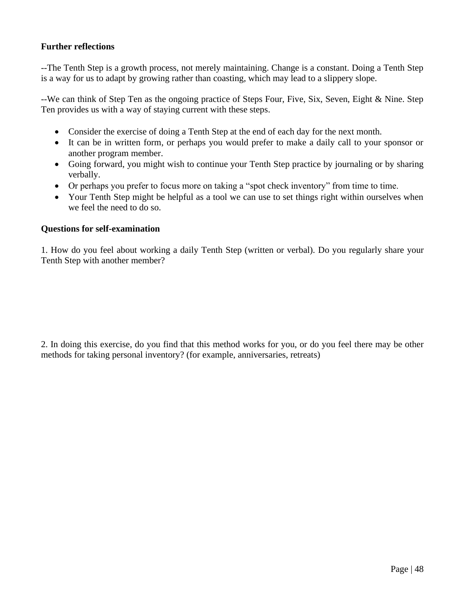#### **Further reflections**

--The Tenth Step is a growth process, not merely maintaining. Change is a constant. Doing a Tenth Step is a way for us to adapt by growing rather than coasting, which may lead to a slippery slope.

--We can think of Step Ten as the ongoing practice of Steps Four, Five, Six, Seven, Eight & Nine. Step Ten provides us with a way of staying current with these steps.

- Consider the exercise of doing a Tenth Step at the end of each day for the next month.
- It can be in written form, or perhaps you would prefer to make a daily call to your sponsor or another program member.
- Going forward, you might wish to continue your Tenth Step practice by journaling or by sharing verbally.
- Or perhaps you prefer to focus more on taking a "spot check inventory" from time to time.
- Your Tenth Step might be helpful as a tool we can use to set things right within ourselves when we feel the need to do so.

#### **Questions for self-examination**

1. How do you feel about working a daily Tenth Step (written or verbal). Do you regularly share your Tenth Step with another member?

2. In doing this exercise, do you find that this method works for you, or do you feel there may be other methods for taking personal inventory? (for example, anniversaries, retreats)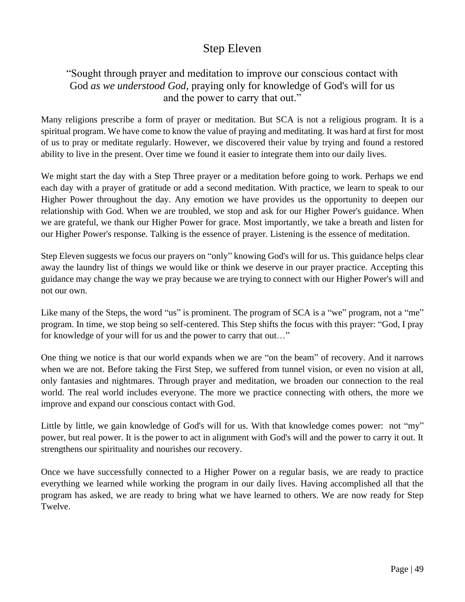## Step Eleven

## "Sought through prayer and meditation to improve our conscious contact with God *as we understood God*, praying only for knowledge of God's will for us and the power to carry that out."

Many religions prescribe a form of prayer or meditation. But SCA is not a religious program. It is a spiritual program. We have come to know the value of praying and meditating. It was hard at first for most of us to pray or meditate regularly. However, we discovered their value by trying and found a restored ability to live in the present. Over time we found it easier to integrate them into our daily lives.

We might start the day with a Step Three prayer or a meditation before going to work. Perhaps we end each day with a prayer of gratitude or add a second meditation. With practice, we learn to speak to our Higher Power throughout the day. Any emotion we have provides us the opportunity to deepen our relationship with God. When we are troubled, we stop and ask for our Higher Power's guidance. When we are grateful, we thank our Higher Power for grace. Most importantly, we take a breath and listen for our Higher Power's response. Talking is the essence of prayer. Listening is the essence of meditation.

Step Eleven suggests we focus our prayers on "only" knowing God's will for us. This guidance helps clear away the laundry list of things we would like or think we deserve in our prayer practice. Accepting this guidance may change the way we pray because we are trying to connect with our Higher Power's will and not our own.

Like many of the Steps, the word "us" is prominent. The program of SCA is a "we" program, not a "me" program. In time, we stop being so self-centered. This Step shifts the focus with this prayer: "God, I pray for knowledge of your will for us and the power to carry that out…"

One thing we notice is that our world expands when we are "on the beam" of recovery. And it narrows when we are not. Before taking the First Step, we suffered from tunnel vision, or even no vision at all, only fantasies and nightmares. Through prayer and meditation, we broaden our connection to the real world. The real world includes everyone. The more we practice connecting with others, the more we improve and expand our conscious contact with God.

Little by little, we gain knowledge of God's will for us. With that knowledge comes power: not "my" power, but real power. It is the power to act in alignment with God's will and the power to carry it out. It strengthens our spirituality and nourishes our recovery.

Once we have successfully connected to a Higher Power on a regular basis, we are ready to practice everything we learned while working the program in our daily lives. Having accomplished all that the program has asked, we are ready to bring what we have learned to others. We are now ready for Step Twelve.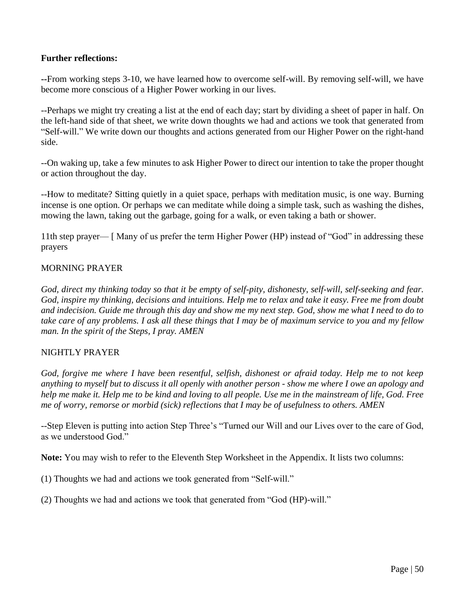#### **Further reflections:**

**--**From working steps 3-10, we have learned how to overcome self-will. By removing self-will, we have become more conscious of a Higher Power working in our lives.

--Perhaps we might try creating a list at the end of each day; start by dividing a sheet of paper in half. On the left-hand side of that sheet, we write down thoughts we had and actions we took that generated from "Self-will." We write down our thoughts and actions generated from our Higher Power on the right-hand side.

--On waking up, take a few minutes to ask Higher Power to direct our intention to take the proper thought or action throughout the day.

--How to meditate? Sitting quietly in a quiet space, perhaps with meditation music, is one way. Burning incense is one option. Or perhaps we can meditate while doing a simple task, such as washing the dishes, mowing the lawn, taking out the garbage, going for a walk, or even taking a bath or shower.

11th step prayer— [ Many of us prefer the term Higher Power (HP) instead of "God" in addressing these prayers

#### MORNING PRAYER

*God, direct my thinking today so that it be empty of self-pity, dishonesty, self-will, self-seeking and fear. God, inspire my thinking, decisions and intuitions. Help me to relax and take it easy. Free me from doubt and indecision. Guide me through this day and show me my next step. God, show me what I need to do to take care of any problems. I ask all these things that I may be of maximum service to you and my fellow man. In the spirit of the Steps, I pray. AMEN* 

#### NIGHTLY PRAYER

*God, forgive me where I have been resentful, selfish, dishonest or afraid today. Help me to not keep anything to myself but to discuss it all openly with another person - show me where I owe an apology and help me make it. Help me to be kind and loving to all people. Use me in the mainstream of life, God. Free me of worry, remorse or morbid (sick) reflections that I may be of usefulness to others. AMEN* 

--Step Eleven is putting into action Step Three's "Turned our Will and our Lives over to the care of God, as we understood God."

**Note:** You may wish to refer to the Eleventh Step Worksheet in the Appendix. It lists two columns:

(1) Thoughts we had and actions we took generated from "Self-will."

(2) Thoughts we had and actions we took that generated from "God (HP)-will."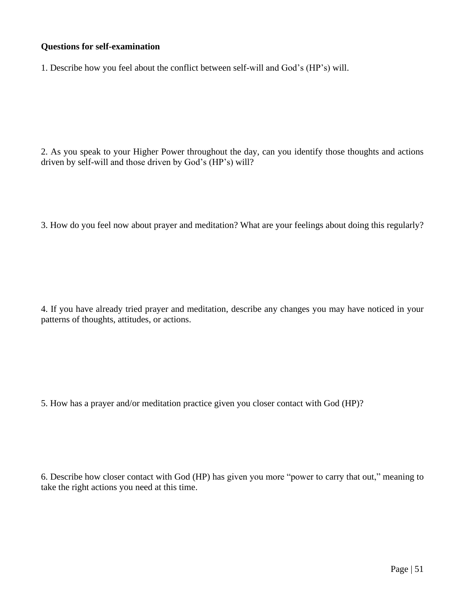#### **Questions for self-examination**

1. Describe how you feel about the conflict between self-will and God's (HP's) will.

2. As you speak to your Higher Power throughout the day, can you identify those thoughts and actions driven by self-will and those driven by God's (HP's) will?

3. How do you feel now about prayer and meditation? What are your feelings about doing this regularly?

4. If you have already tried prayer and meditation, describe any changes you may have noticed in your patterns of thoughts, attitudes, or actions.

5. How has a prayer and/or meditation practice given you closer contact with God (HP)?

6. Describe how closer contact with God (HP) has given you more "power to carry that out," meaning to take the right actions you need at this time.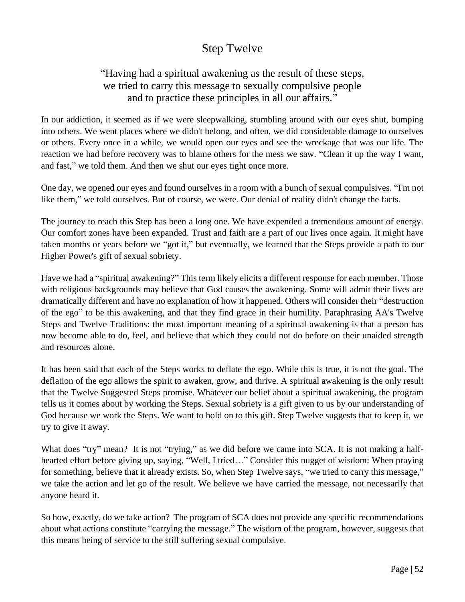## Step Twelve

## "Having had a spiritual awakening as the result of these steps, we tried to carry this message to sexually compulsive people and to practice these principles in all our affairs."

In our addiction, it seemed as if we were sleepwalking, stumbling around with our eyes shut, bumping into others. We went places where we didn't belong, and often, we did considerable damage to ourselves or others. Every once in a while, we would open our eyes and see the wreckage that was our life. The reaction we had before recovery was to blame others for the mess we saw. "Clean it up the way I want, and fast," we told them. And then we shut our eyes tight once more.

One day, we opened our eyes and found ourselves in a room with a bunch of sexual compulsives. "I'm not like them," we told ourselves. But of course, we were. Our denial of reality didn't change the facts.

The journey to reach this Step has been a long one. We have expended a tremendous amount of energy. Our comfort zones have been expanded. Trust and faith are a part of our lives once again. It might have taken months or years before we "got it," but eventually, we learned that the Steps provide a path to our Higher Power's gift of sexual sobriety.

Have we had a "spiritual awakening?" This term likely elicits a different response for each member. Those with religious backgrounds may believe that God causes the awakening. Some will admit their lives are dramatically different and have no explanation of how it happened. Others will consider their "destruction of the ego" to be this awakening, and that they find grace in their humility. Paraphrasing AA's Twelve Steps and Twelve Traditions: the most important meaning of a spiritual awakening is that a person has now become able to do, feel, and believe that which they could not do before on their unaided strength and resources alone.

It has been said that each of the Steps works to deflate the ego. While this is true, it is not the goal. The deflation of the ego allows the spirit to awaken, grow, and thrive. A spiritual awakening is the only result that the Twelve Suggested Steps promise. Whatever our belief about a spiritual awakening, the program tells us it comes about by working the Steps. Sexual sobriety is a gift given to us by our understanding of God because we work the Steps. We want to hold on to this gift. Step Twelve suggests that to keep it, we try to give it away.

What does "try" mean? It is not "trying," as we did before we came into SCA. It is not making a halfhearted effort before giving up, saying, "Well, I tried…" Consider this nugget of wisdom: When praying for something, believe that it already exists. So, when Step Twelve says, "we tried to carry this message," we take the action and let go of the result. We believe we have carried the message, not necessarily that anyone heard it.

So how, exactly, do we take action? The program of SCA does not provide any specific recommendations about what actions constitute "carrying the message." The wisdom of the program, however, suggests that this means being of service to the still suffering sexual compulsive.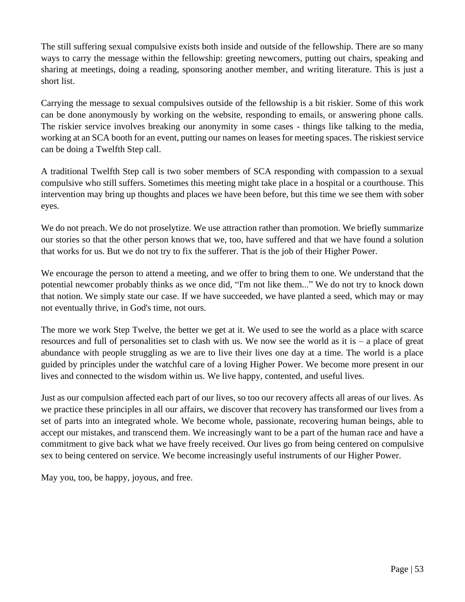The still suffering sexual compulsive exists both inside and outside of the fellowship. There are so many ways to carry the message within the fellowship: greeting newcomers, putting out chairs, speaking and sharing at meetings, doing a reading, sponsoring another member, and writing literature. This is just a short list.

Carrying the message to sexual compulsives outside of the fellowship is a bit riskier. Some of this work can be done anonymously by working on the website, responding to emails, or answering phone calls. The riskier service involves breaking our anonymity in some cases - things like talking to the media, working at an SCA booth for an event, putting our names on leases for meeting spaces. The riskiest service can be doing a Twelfth Step call.

A traditional Twelfth Step call is two sober members of SCA responding with compassion to a sexual compulsive who still suffers. Sometimes this meeting might take place in a hospital or a courthouse. This intervention may bring up thoughts and places we have been before, but this time we see them with sober eyes.

We do not preach. We do not proselytize. We use attraction rather than promotion. We briefly summarize our stories so that the other person knows that we, too, have suffered and that we have found a solution that works for us. But we do not try to fix the sufferer. That is the job of their Higher Power.

We encourage the person to attend a meeting, and we offer to bring them to one. We understand that the potential newcomer probably thinks as we once did, "I'm not like them..." We do not try to knock down that notion. We simply state our case. If we have succeeded, we have planted a seed, which may or may not eventually thrive, in God's time, not ours.

The more we work Step Twelve, the better we get at it. We used to see the world as a place with scarce resources and full of personalities set to clash with us. We now see the world as it is – a place of great abundance with people struggling as we are to live their lives one day at a time. The world is a place guided by principles under the watchful care of a loving Higher Power. We become more present in our lives and connected to the wisdom within us. We live happy, contented, and useful lives.

Just as our compulsion affected each part of our lives, so too our recovery affects all areas of our lives. As we practice these principles in all our affairs, we discover that recovery has transformed our lives from a set of parts into an integrated whole. We become whole, passionate, recovering human beings, able to accept our mistakes, and transcend them. We increasingly want to be a part of the human race and have a commitment to give back what we have freely received. Our lives go from being centered on compulsive sex to being centered on service. We become increasingly useful instruments of our Higher Power.

May you, too, be happy, joyous, and free.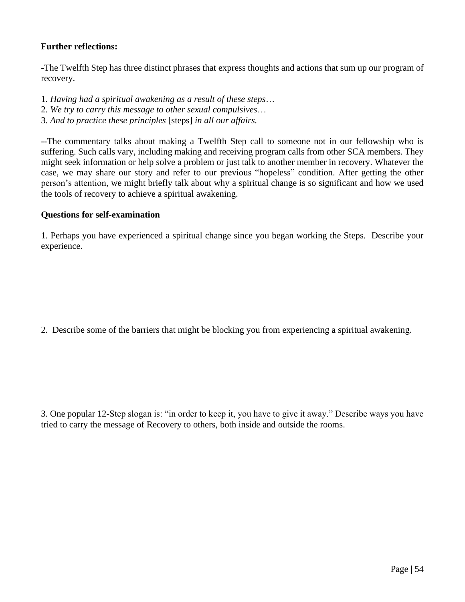#### **Further reflections:**

-The Twelfth Step has three distinct phrases that express thoughts and actions that sum up our program of recovery.

- 1. *Having had a spiritual awakening as a result of these steps*…
- 2. *We try to carry this message to other sexual compulsives*…
- 3. *And to practice these principles* [steps] *in all our affairs.*

--The commentary talks about making a Twelfth Step call to someone not in our fellowship who is suffering. Such calls vary, including making and receiving program calls from other SCA members. They might seek information or help solve a problem or just talk to another member in recovery. Whatever the case, we may share our story and refer to our previous "hopeless" condition. After getting the other person's attention, we might briefly talk about why a spiritual change is so significant and how we used the tools of recovery to achieve a spiritual awakening.

#### **Questions for self-examination**

1. Perhaps you have experienced a spiritual change since you began working the Steps. Describe your experience.

2. Describe some of the barriers that might be blocking you from experiencing a spiritual awakening.

3. One popular 12-Step slogan is: "in order to keep it, you have to give it away." Describe ways you have tried to carry the message of Recovery to others, both inside and outside the rooms.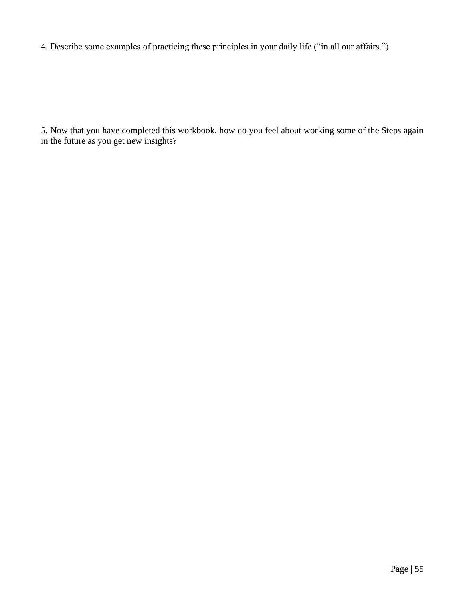4. Describe some examples of practicing these principles in your daily life ("in all our affairs.")

5. Now that you have completed this workbook, how do you feel about working some of the Steps again in the future as you get new insights?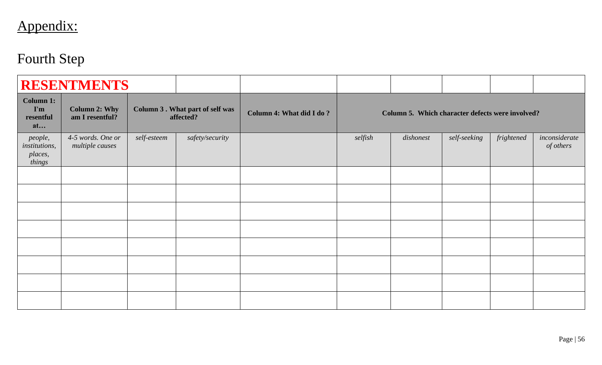# Appendix:

# Fourth Step

|                                               | <b>RESENTMENTS</b>                      |                                                     |                 |                          |         |                                                  |              |            |                            |
|-----------------------------------------------|-----------------------------------------|-----------------------------------------------------|-----------------|--------------------------|---------|--------------------------------------------------|--------------|------------|----------------------------|
| <b>Column 1:</b><br>I'm<br>resentful<br>at    | <b>Column 2: Why</b><br>am I resentful? | <b>Column 3. What part of self was</b><br>affected? |                 | Column 4: What did I do? |         | Column 5. Which character defects were involved? |              |            |                            |
| people,<br>institutions,<br>places,<br>things | 4-5 words. One or<br>multiple causes    | self-esteem                                         | safety/security |                          | selfish | dishonest                                        | self-seeking | frightened | inconsiderate<br>of others |
|                                               |                                         |                                                     |                 |                          |         |                                                  |              |            |                            |
|                                               |                                         |                                                     |                 |                          |         |                                                  |              |            |                            |
|                                               |                                         |                                                     |                 |                          |         |                                                  |              |            |                            |
|                                               |                                         |                                                     |                 |                          |         |                                                  |              |            |                            |
|                                               |                                         |                                                     |                 |                          |         |                                                  |              |            |                            |
|                                               |                                         |                                                     |                 |                          |         |                                                  |              |            |                            |
|                                               |                                         |                                                     |                 |                          |         |                                                  |              |            |                            |
|                                               |                                         |                                                     |                 |                          |         |                                                  |              |            |                            |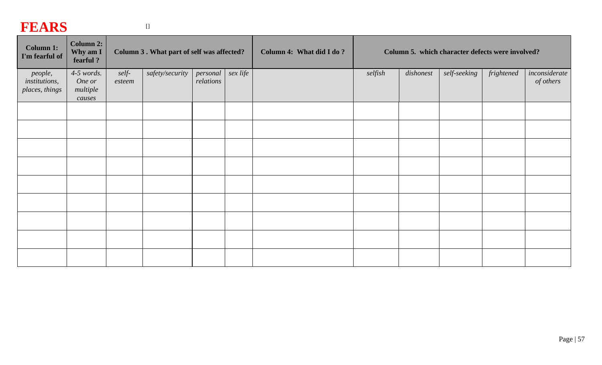## **FEARS**

| - --- <del>---</del>                              |                                              |                                           |                 |                       |                          |                                                  |         |           |              |            |                            |
|---------------------------------------------------|----------------------------------------------|-------------------------------------------|-----------------|-----------------------|--------------------------|--------------------------------------------------|---------|-----------|--------------|------------|----------------------------|
| <b>Column 1:</b><br>I'm fearful of                | Column 2:<br>Why am I<br>fearful?            | Column 3. What part of self was affected? |                 |                       | Column 4: What did I do? | Column 5. which character defects were involved? |         |           |              |            |                            |
| people,<br><i>institutions,</i><br>places, things | $4-5$ words.<br>One or<br>multiple<br>causes | self-<br>esteem                           | safety/security | personal<br>relations | sex life                 |                                                  | selfish | dishonest | self-seeking | frightened | inconsiderate<br>of others |
|                                                   |                                              |                                           |                 |                       |                          |                                                  |         |           |              |            |                            |
|                                                   |                                              |                                           |                 |                       |                          |                                                  |         |           |              |            |                            |
|                                                   |                                              |                                           |                 |                       |                          |                                                  |         |           |              |            |                            |
|                                                   |                                              |                                           |                 |                       |                          |                                                  |         |           |              |            |                            |
|                                                   |                                              |                                           |                 |                       |                          |                                                  |         |           |              |            |                            |
|                                                   |                                              |                                           |                 |                       |                          |                                                  |         |           |              |            |                            |
|                                                   |                                              |                                           |                 |                       |                          |                                                  |         |           |              |            |                            |
|                                                   |                                              |                                           |                 |                       |                          |                                                  |         |           |              |            |                            |
|                                                   |                                              |                                           |                 |                       |                          |                                                  |         |           |              |            |                            |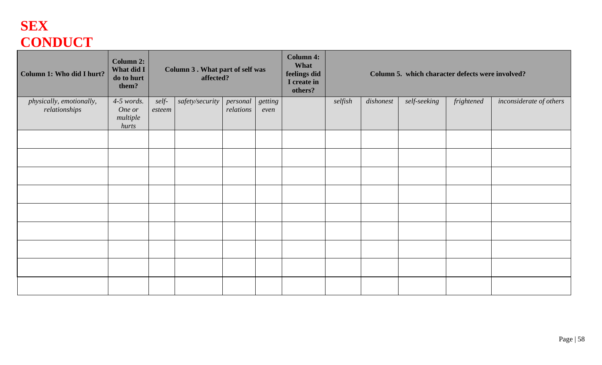## **SEX CONDUCT**

| Column 1: Who did I hurt?                 | <b>Column 2:</b><br>What did I<br>do to hurt<br>them? | <b>Column 3. What part of self was</b><br>affected? |                 |                       | <b>Column 4:</b><br>What<br>feelings did<br>I create in<br>others? |  |         | Column 5. which character defects were involved? |              |            |                         |
|-------------------------------------------|-------------------------------------------------------|-----------------------------------------------------|-----------------|-----------------------|--------------------------------------------------------------------|--|---------|--------------------------------------------------|--------------|------------|-------------------------|
| physically, emotionally,<br>relationships | $4-5$ words.<br>One or                                | self-<br>esteem                                     | safety/security | personal<br>relations | getting<br>even                                                    |  | selfish | dishonest                                        | self-seeking | frightened | inconsiderate of others |
|                                           | multiple<br>hurts                                     |                                                     |                 |                       |                                                                    |  |         |                                                  |              |            |                         |
|                                           |                                                       |                                                     |                 |                       |                                                                    |  |         |                                                  |              |            |                         |
|                                           |                                                       |                                                     |                 |                       |                                                                    |  |         |                                                  |              |            |                         |
|                                           |                                                       |                                                     |                 |                       |                                                                    |  |         |                                                  |              |            |                         |
|                                           |                                                       |                                                     |                 |                       |                                                                    |  |         |                                                  |              |            |                         |
|                                           |                                                       |                                                     |                 |                       |                                                                    |  |         |                                                  |              |            |                         |
|                                           |                                                       |                                                     |                 |                       |                                                                    |  |         |                                                  |              |            |                         |
|                                           |                                                       |                                                     |                 |                       |                                                                    |  |         |                                                  |              |            |                         |
|                                           |                                                       |                                                     |                 |                       |                                                                    |  |         |                                                  |              |            |                         |
|                                           |                                                       |                                                     |                 |                       |                                                                    |  |         |                                                  |              |            |                         |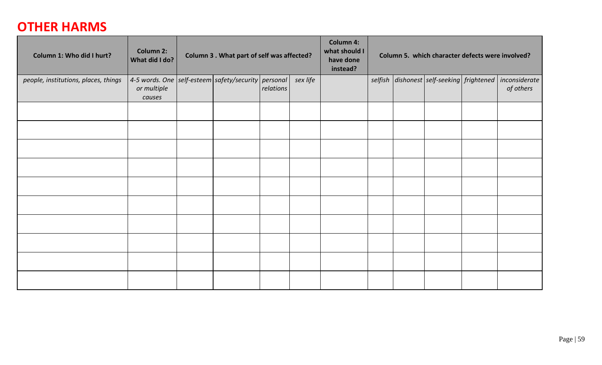## **OTHER HARMS**

| Column 1: Who did I hurt?            | <b>Column 2:</b><br>What did I do?                                           | Column 3 . What part of self was affected? |  |           |          | <b>Column 4:</b><br>what should I<br>have done<br>instead? | Column 5. which character defects were involved? |  |                                           |  |                            |
|--------------------------------------|------------------------------------------------------------------------------|--------------------------------------------|--|-----------|----------|------------------------------------------------------------|--------------------------------------------------|--|-------------------------------------------|--|----------------------------|
| people, institutions, places, things | 4-5 words. One self-esteem safety/security personal<br>or multiple<br>causes |                                            |  | relations | sex life |                                                            |                                                  |  | selfish dishonest self-seeking frightened |  | inconsiderate<br>of others |
|                                      |                                                                              |                                            |  |           |          |                                                            |                                                  |  |                                           |  |                            |
|                                      |                                                                              |                                            |  |           |          |                                                            |                                                  |  |                                           |  |                            |
|                                      |                                                                              |                                            |  |           |          |                                                            |                                                  |  |                                           |  |                            |
|                                      |                                                                              |                                            |  |           |          |                                                            |                                                  |  |                                           |  |                            |
|                                      |                                                                              |                                            |  |           |          |                                                            |                                                  |  |                                           |  |                            |
|                                      |                                                                              |                                            |  |           |          |                                                            |                                                  |  |                                           |  |                            |
|                                      |                                                                              |                                            |  |           |          |                                                            |                                                  |  |                                           |  |                            |
|                                      |                                                                              |                                            |  |           |          |                                                            |                                                  |  |                                           |  |                            |
|                                      |                                                                              |                                            |  |           |          |                                                            |                                                  |  |                                           |  |                            |
|                                      |                                                                              |                                            |  |           |          |                                                            |                                                  |  |                                           |  |                            |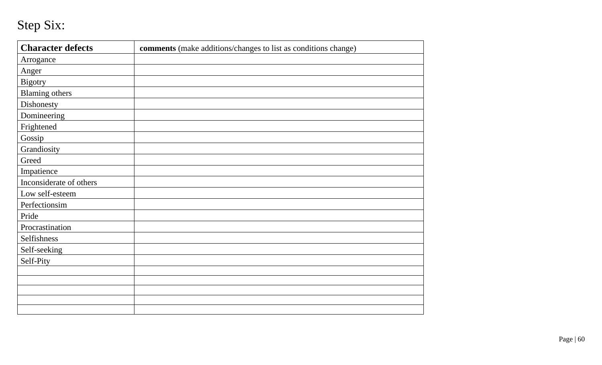## Step Six:

| <b>Character defects</b> | comments (make additions/changes to list as conditions change) |
|--------------------------|----------------------------------------------------------------|
| Arrogance                |                                                                |
| Anger                    |                                                                |
| <b>Bigotry</b>           |                                                                |
| <b>Blaming others</b>    |                                                                |
| Dishonesty               |                                                                |
| Domineering              |                                                                |
| Frightened               |                                                                |
| Gossip                   |                                                                |
| Grandiosity              |                                                                |
| Greed                    |                                                                |
| Impatience               |                                                                |
| Inconsiderate of others  |                                                                |
| Low self-esteem          |                                                                |
| Perfectionsim            |                                                                |
| Pride                    |                                                                |
| Procrastination          |                                                                |
| Selfishness              |                                                                |
| Self-seeking             |                                                                |
| Self-Pity                |                                                                |
|                          |                                                                |
|                          |                                                                |
|                          |                                                                |
|                          |                                                                |
|                          |                                                                |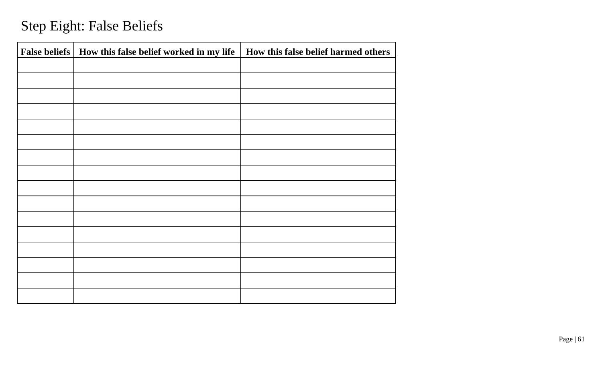# Step Eight: False Beliefs

| False beliefs   How this false belief worked in my life | How this false belief harmed others |
|---------------------------------------------------------|-------------------------------------|
|                                                         |                                     |
|                                                         |                                     |
|                                                         |                                     |
|                                                         |                                     |
|                                                         |                                     |
|                                                         |                                     |
|                                                         |                                     |
|                                                         |                                     |
|                                                         |                                     |
|                                                         |                                     |
|                                                         |                                     |
|                                                         |                                     |
|                                                         |                                     |
|                                                         |                                     |
|                                                         |                                     |
|                                                         |                                     |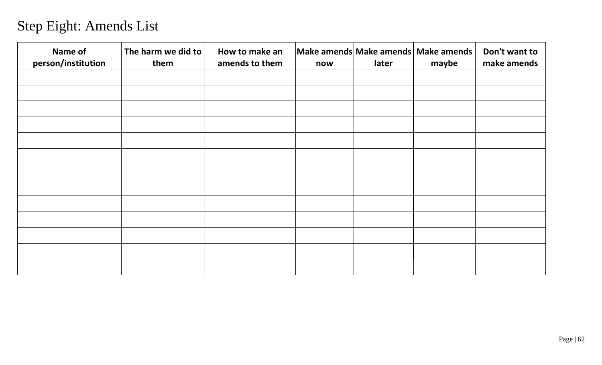# Step Eight: Amends List

| Name of<br>person/institution | The harm we did to<br>them | How to make an<br>amends to them | now | later | Make amends Make amends Make amends<br>maybe | Don't want to<br>make amends |
|-------------------------------|----------------------------|----------------------------------|-----|-------|----------------------------------------------|------------------------------|
|                               |                            |                                  |     |       |                                              |                              |
|                               |                            |                                  |     |       |                                              |                              |
|                               |                            |                                  |     |       |                                              |                              |
|                               |                            |                                  |     |       |                                              |                              |
|                               |                            |                                  |     |       |                                              |                              |
|                               |                            |                                  |     |       |                                              |                              |
|                               |                            |                                  |     |       |                                              |                              |
|                               |                            |                                  |     |       |                                              |                              |
|                               |                            |                                  |     |       |                                              |                              |
|                               |                            |                                  |     |       |                                              |                              |
|                               |                            |                                  |     |       |                                              |                              |
|                               |                            |                                  |     |       |                                              |                              |
|                               |                            |                                  |     |       |                                              |                              |